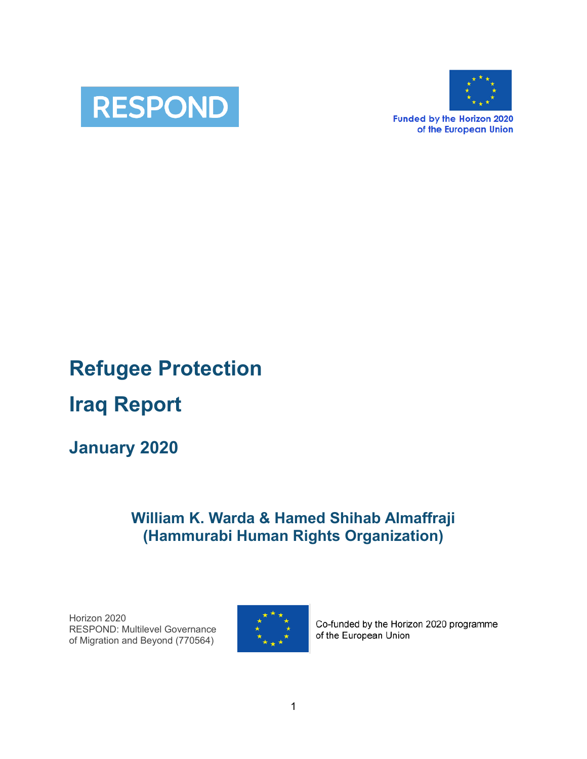



**Funded by the Horizon 2020** of the European Union

# **Refugee Protection Iraq Report**

## **January 2020**

## **William K. Warda & Hamed Shihab Almaffraji (Hammurabi Human Rights Organization)**

Horizon 2020 RESPOND: Multilevel Governance of Migration and Beyond (770564)



Co-funded by the Horizon 2020 programme of the European Union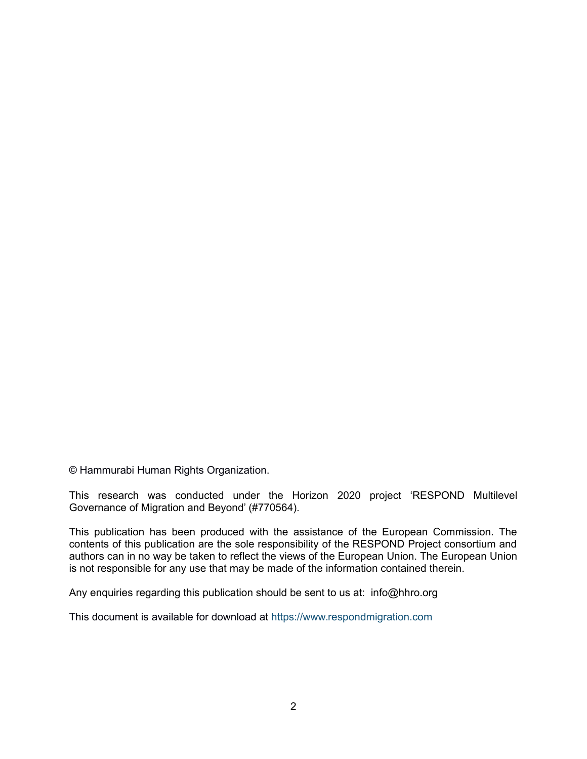© Hammurabi Human Rights Organization.

This research was conducted under the Horizon 2020 project 'RESPOND Multilevel Governance of Migration and Beyond' (#770564).

This publication has been produced with the assistance of the European Commission. The contents of this publication are the sole responsibility of the RESPOND Project consortium and authors can in no way be taken to reflect the views of the European Union. The European Union is not responsible for any use that may be made of the information contained therein.

Any enquiries regarding this publication should be sent to us at: info@hhro.org

This document is available for download at https://www.respondmigration.com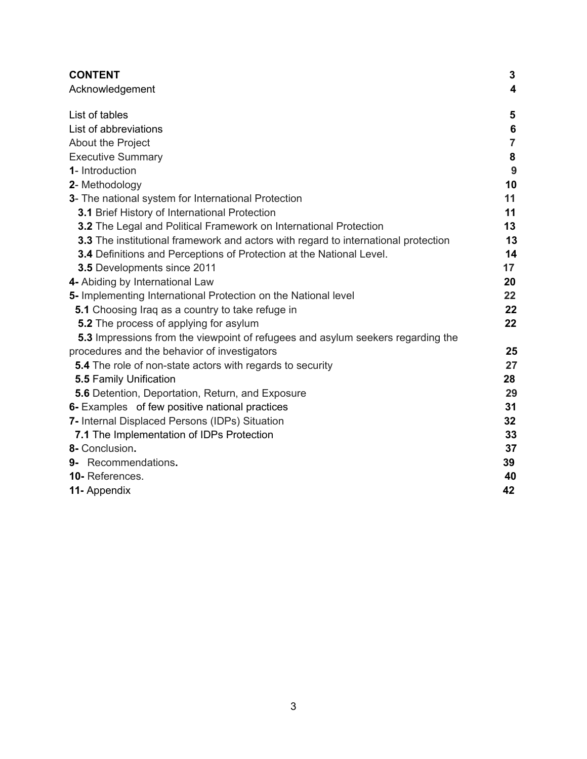| <b>CONTENT</b>                                                                            | $\mathbf{3}$            |
|-------------------------------------------------------------------------------------------|-------------------------|
| Acknowledgement                                                                           | $\overline{\mathbf{4}}$ |
| List of tables                                                                            | 5                       |
| List of abbreviations                                                                     | 6                       |
| About the Project                                                                         | $\overline{7}$          |
| <b>Executive Summary</b>                                                                  | ${\bf 8}$               |
| 1- Introduction                                                                           | 9                       |
| 2- Methodology                                                                            | 10                      |
| 3- The national system for International Protection                                       | 11                      |
| 3.1 Brief History of International Protection                                             | 11                      |
| 3.2 The Legal and Political Framework on International Protection                         | 13                      |
| <b>3.3</b> The institutional framework and actors with regard to international protection | 13                      |
| 3.4 Definitions and Perceptions of Protection at the National Level.                      | 14                      |
| 3.5 Developments since 2011                                                               | 17                      |
| 4- Abiding by International Law                                                           | 20                      |
| 5- Implementing International Protection on the National level                            | 22                      |
| 5.1 Choosing Iraq as a country to take refuge in                                          | 22                      |
| 5.2 The process of applying for asylum                                                    | 22                      |
| 5.3 Impressions from the viewpoint of refugees and asylum seekers regarding the           |                         |
| procedures and the behavior of investigators                                              | 25                      |
| <b>5.4</b> The role of non-state actors with regards to security                          | 27                      |
| <b>5.5 Family Unification</b>                                                             | 28                      |
| 5.6 Detention, Deportation, Return, and Exposure                                          | 29                      |
| 6- Examples of few positive national practices                                            | 31                      |
| 7- Internal Displaced Persons (IDPs) Situation                                            | 32                      |
| 7.1 The Implementation of IDPs Protection                                                 | 33                      |
| 8- Conclusion.                                                                            | 37                      |
| 9- Recommendations.                                                                       | 39                      |
| 10-References.                                                                            | 40                      |
| 11- Appendix                                                                              | 42                      |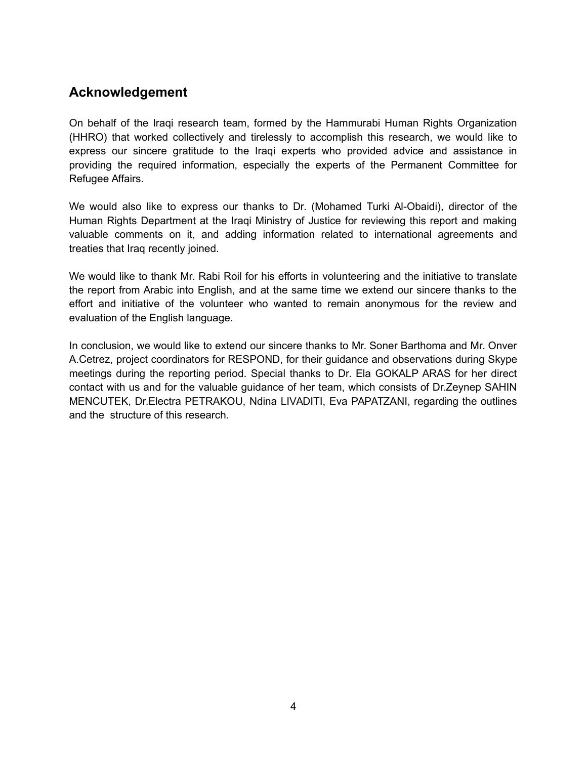## **Acknowledgement**

On behalf of the Iraqi research team, formed by the Hammurabi Human Rights Organization (HHRO) that worked collectively and tirelessly to accomplish this research, we would like to express our sincere gratitude to the Iraqi experts who provided advice and assistance in providing the required information, especially the experts of the Permanent Committee for Refugee Affairs.

We would also like to express our thanks to Dr. (Mohamed Turki Al-Obaidi), director of the Human Rights Department at the Iraqi Ministry of Justice for reviewing this report and making valuable comments on it, and adding information related to international agreements and treaties that Iraq recently joined.

We would like to thank Mr. Rabi Roil for his efforts in volunteering and the initiative to translate the report from Arabic into English, and at the same time we extend our sincere thanks to the effort and initiative of the volunteer who wanted to remain anonymous for the review and evaluation of the English language.

In conclusion, we would like to extend our sincere thanks to Mr. Soner Barthoma and Mr. Onver A.Cetrez, project coordinators for RESPOND, for their guidance and observations during Skype meetings during the reporting period. Special thanks to Dr. Ela GOKALP ARAS for her direct contact with us and for the valuable guidance of her team, which consists of Dr.Zeynep SAHIN MENCUTEK, Dr.Electra PETRAKOU, Ndina LIVADITI, Eva PAPATZANI, regarding the outlines and the structure of this research.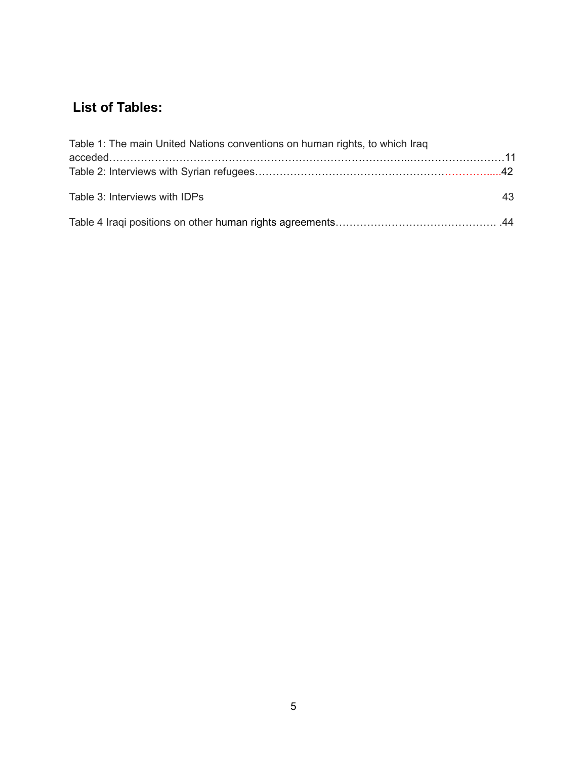## **List of Tables:**

| Table 1: The main United Nations conventions on human rights, to which Iraq |    |
|-----------------------------------------------------------------------------|----|
|                                                                             |    |
|                                                                             |    |
| Table 3: Interviews with IDPs                                               | 43 |
|                                                                             |    |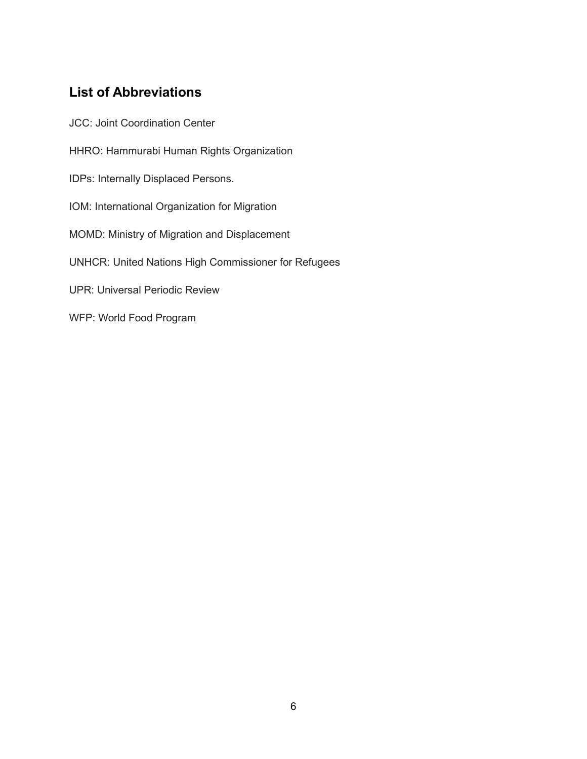## **List of Abbreviations**

JCC: Joint Coordination Center HHRO: Hammurabi Human Rights Organization IDPs: Internally Displaced Persons. IOM: International Organization for Migration MOMD: Ministry of Migration and Displacement UNHCR: United Nations High Commissioner for Refugees UPR: Universal Periodic Review WFP: World Food Program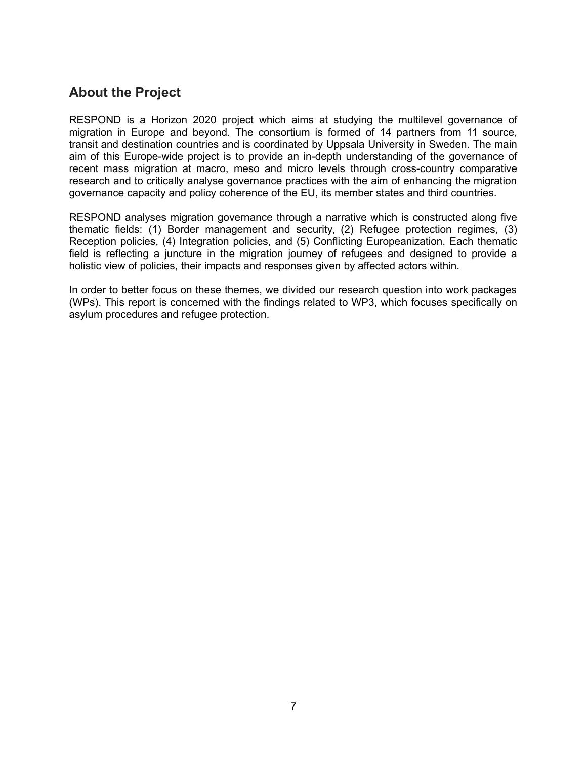## **About the Project**

RESPOND is a Horizon 2020 project which aims at studying the multilevel governance of migration in Europe and beyond. The consortium is formed of 14 partners from 11 source, transit and destination countries and is coordinated by Uppsala University in Sweden. The main aim of this Europe-wide project is to provide an in-depth understanding of the governance of recent mass migration at macro, meso and micro levels through cross-country comparative research and to critically analyse governance practices with the aim of enhancing the migration governance capacity and policy coherence of the EU, its member states and third countries.

RESPOND analyses migration governance through a narrative which is constructed along five thematic fields: (1) Border management and security, (2) Refugee protection regimes, (3) Reception policies, (4) Integration policies, and (5) Conflicting Europeanization. Each thematic field is reflecting a juncture in the migration journey of refugees and designed to provide a holistic view of policies, their impacts and responses given by affected actors within.

In order to better focus on these themes, we divided our research question into work packages (WPs). This report is concerned with the findings related to WP3, which focuses specifically on asylum procedures and refugee protection.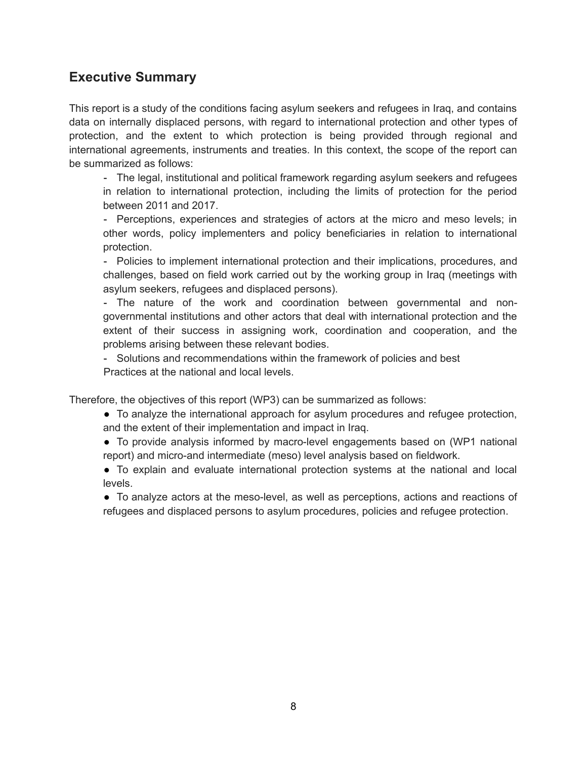## **Executive Summary**

This report is a study of the conditions facing asylum seekers and refugees in Iraq, and contains data on internally displaced persons, with regard to international protection and other types of protection, and the extent to which protection is being provided through regional and international agreements, instruments and treaties. In this context, the scope of the report can be summarized as follows:

- The legal, institutional and political framework regarding asylum seekers and refugees in relation to international protection, including the limits of protection for the period between 2011 and 2017.

- Perceptions, experiences and strategies of actors at the micro and meso levels; in other words, policy implementers and policy beneficiaries in relation to international protection.

- Policies to implement international protection and their implications, procedures, and challenges, based on field work carried out by the working group in Iraq (meetings with asylum seekers, refugees and displaced persons).

- The nature of the work and coordination between governmental and nongovernmental institutions and other actors that deal with international protection and the extent of their success in assigning work, coordination and cooperation, and the problems arising between these relevant bodies.

- Solutions and recommendations within the framework of policies and best Practices at the national and local levels.

Therefore, the objectives of this report (WP3) can be summarized as follows:

- To analyze the international approach for asylum procedures and refugee protection, and the extent of their implementation and impact in Iraq.
- To provide analysis informed by macro-level engagements based on (WP1 national report) and micro-and intermediate (meso) level analysis based on fieldwork.

● To explain and evaluate international protection systems at the national and local levels.

● To analyze actors at the meso-level, as well as perceptions, actions and reactions of refugees and displaced persons to asylum procedures, policies and refugee protection.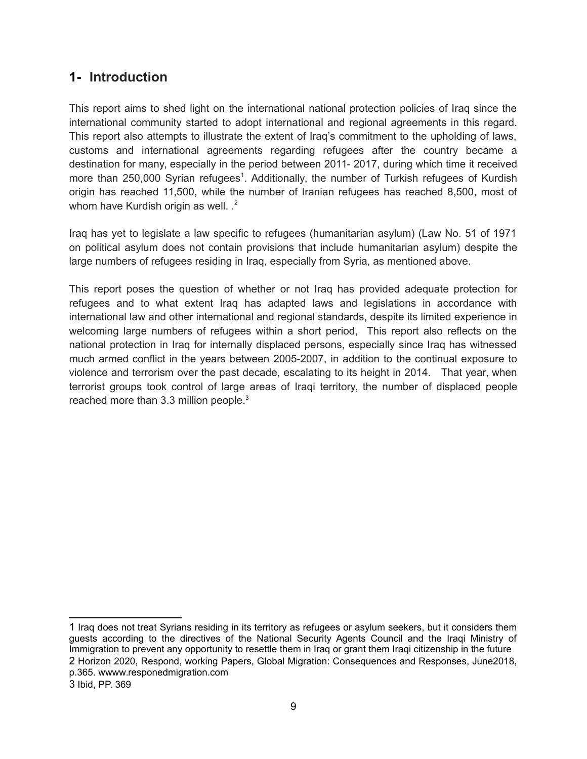## **1- Introduction**

This report aims to shed light on the international national protection policies of Iraq since the international community started to adopt international and regional agreements in this regard. This report also attempts to illustrate the extent of Iraq's commitment to the upholding of laws, customs and international agreements regarding refugees after the country became a destination for many, especially in the period between 2011- 2017, during which time it received more than 250,000 Syrian refugees<sup>[1](#page-8-0)</sup>. Additionally, the number of Turkish refugees of Kurdish origin has reached 11,500, while the number of Iranian refugees has reached 8,500, most of whom have Kurdish origin as well. .<sup>[2](#page-8-1)</sup>

Iraq has yet to legislate a law specific to refugees (humanitarian asylum) (Law No. 51 of 1971 on political asylum does not contain provisions that include humanitarian asylum) despite the large numbers of refugees residing in Iraq, especially from Syria, as mentioned above.

This report poses the question of whether or not Iraq has provided adequate protection for refugees and to what extent Iraq has adapted laws and legislations in accordance with international law and other international and regional standards, despite its limited experience in welcoming large numbers of refugees within a short period, This report also reflects on the national protection in Iraq for internally displaced persons, especially since Iraq has witnessed much armed conflict in the years between 2005-2007, in addition to the continual exposure to violence and terrorism over the past decade, escalating to its height in 2014. That year, when terrorist groups took control of large areas of Iraqi territory, the number of displaced people reached more than [3](#page-8-2).3 million people.<sup>3</sup>

<span id="page-8-2"></span><span id="page-8-1"></span><span id="page-8-0"></span><sup>1</sup> Iraq does not treat Syrians residing in its territory as refugees or asylum seekers, but it considers them guests according to the directives of the National Security Agents Council and the Iraqi Ministry of Immigration to prevent any opportunity to resettle them in Iraq or grant them Iraqi citizenship in the future 2 Horizon 2020, Respond, working Papers, Global Migration: Consequences and Responses, June2018, p.365. wwww.responedmigration.com 3 Ibid, PP. 369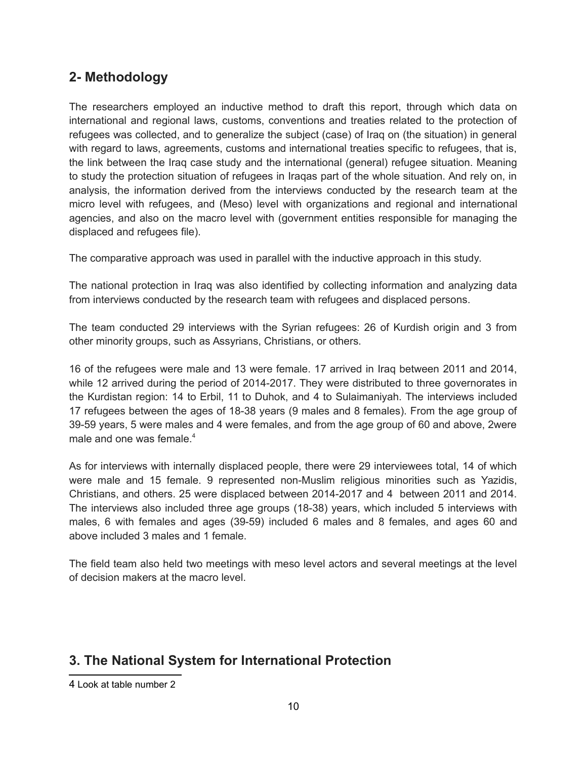## **2- Methodology**

The researchers employed an inductive method to draft this report, through which data on international and regional laws, customs, conventions and treaties related to the protection of refugees was collected, and to generalize the subject (case) of Iraq on (the situation) in general with regard to laws, agreements, customs and international treaties specific to refugees, that is, the link between the Iraq case study and the international (general) refugee situation. Meaning to study the protection situation of refugees in Iraqas part of the whole situation. And rely on, in analysis, the information derived from the interviews conducted by the research team at the micro level with refugees, and (Meso) level with organizations and regional and international agencies, and also on the macro level with (government entities responsible for managing the displaced and refugees file).

The comparative approach was used in parallel with the inductive approach in this study.

The national protection in Iraq was also identified by collecting information and analyzing data from interviews conducted by the research team with refugees and displaced persons.

The team conducted 29 interviews with the Syrian refugees: 26 of Kurdish origin and 3 from other minority groups, such as Assyrians, Christians, or others.

16 of the refugees were male and 13 were female. 17 arrived in Iraq between 2011 and 2014, while 12 arrived during the period of 2014-2017. They were distributed to three governorates in the Kurdistan region: 14 to Erbil, 11 to Duhok, and 4 to Sulaimaniyah. The interviews included 17 refugees between the ages of 18-38 years (9 males and 8 females). From the age group of 39-59 years, 5 were males and 4 were females, and from the age group of 60 and above, 2were male and one was female. $4$ 

As for interviews with internally displaced people, there were 29 interviewees total, 14 of which were male and 15 female. 9 represented non-Muslim religious minorities such as Yazidis, Christians, and others. 25 were displaced between 2014-2017 and 4 between 2011 and 2014. The interviews also included three age groups (18-38) years, which included 5 interviews with males, 6 with females and ages (39-59) included 6 males and 8 females, and ages 60 and above included 3 males and 1 female.

The field team also held two meetings with meso level actors and several meetings at the level of decision makers at the macro level.

## **3. The National System for International Protection**

<span id="page-9-0"></span><sup>4</sup> Look at table number 2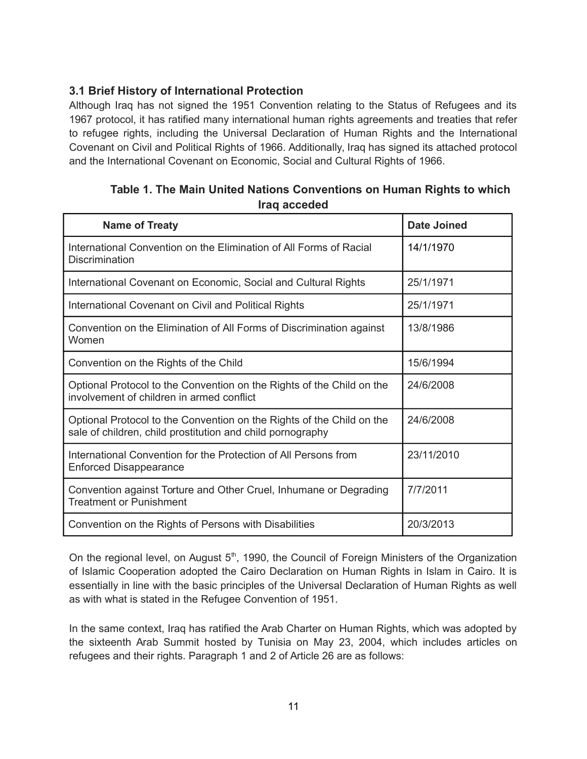#### **3.1 Brief History of International Protection**

Although Iraq has not signed the 1951 Convention relating to the Status of Refugees and its 1967 protocol, it has ratified many international human rights agreements and treaties that refer to refugee rights, including the Universal Declaration of Human Rights and the International Covenant on Civil and Political Rights of 1966. Additionally, Iraq has signed its attached protocol and the International Covenant on Economic, Social and Cultural Rights of 1966.

|  | Table 1. The Main United Nations Conventions on Human Rights to which |  |  |
|--|-----------------------------------------------------------------------|--|--|
|  | Iraq acceded                                                          |  |  |

| <b>Name of Treaty</b>                                                                                                               | <b>Date Joined</b> |
|-------------------------------------------------------------------------------------------------------------------------------------|--------------------|
| International Convention on the Elimination of All Forms of Racial<br>Discrimination                                                | 14/1/1970          |
| International Covenant on Economic, Social and Cultural Rights                                                                      | 25/1/1971          |
| International Covenant on Civil and Political Rights                                                                                | 25/1/1971          |
| Convention on the Elimination of All Forms of Discrimination against<br>Women                                                       | 13/8/1986          |
| Convention on the Rights of the Child                                                                                               | 15/6/1994          |
| Optional Protocol to the Convention on the Rights of the Child on the<br>involvement of children in armed conflict                  | 24/6/2008          |
| Optional Protocol to the Convention on the Rights of the Child on the<br>sale of children, child prostitution and child pornography | 24/6/2008          |
| International Convention for the Protection of All Persons from<br><b>Enforced Disappearance</b>                                    | 23/11/2010         |
| Convention against Torture and Other Cruel, Inhumane or Degrading<br><b>Treatment or Punishment</b>                                 | 7/7/2011           |
| Convention on the Rights of Persons with Disabilities                                                                               | 20/3/2013          |

On the regional level, on August 5<sup>th</sup>, 1990, the Council of Foreign Ministers of the Organization of Islamic Cooperation adopted the Cairo Declaration on Human Rights in Islam in Cairo. It is essentially in line with the basic principles of the Universal Declaration of Human Rights as well as with what is stated in the Refugee Convention of 1951.

In the same context, Iraq has ratified the Arab Charter on Human Rights, which was adopted by the sixteenth Arab Summit hosted by Tunisia on May 23, 2004, which includes articles on refugees and their rights. Paragraph 1 and 2 of Article 26 are as follows: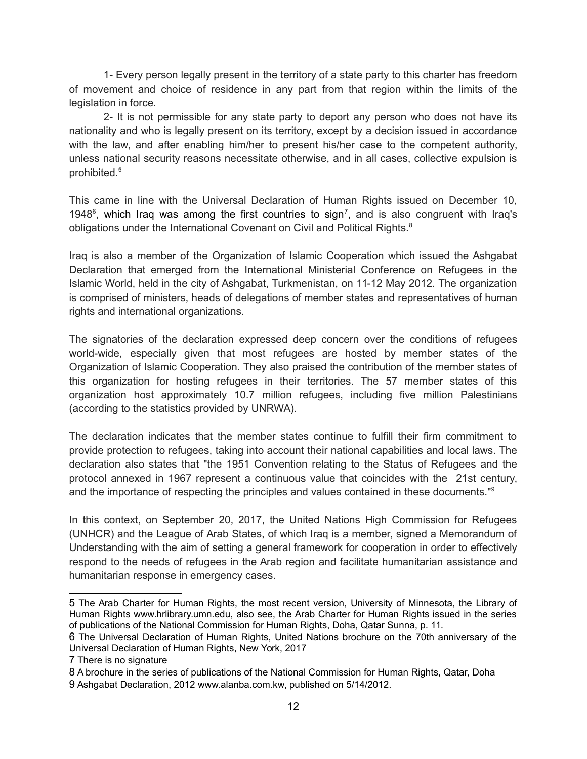1- Every person legally present in the territory of a state party to this charter has freedom of movement and choice of residence in any part from that region within the limits of the legislation in force.

2- It is not permissible for any state party to deport any person who does not have its nationality and who is legally present on its territory, except by a decision issued in accordance with the law, and after enabling him/her to present his/her case to the competent authority, unless national security reasons necessitate otherwise, and in all cases, collective expulsion is prohibited.[5](#page-11-0)

This came in line with the Universal Declaration of Human Rights issued on December 10, 1948<sup>[6](#page-11-1)</sup>, which Iraq was among the first countries to sign<sup>[7](#page-11-2)</sup>, and is also congruent with Iraq's obligations under the International Covenant on Civil and Political Rights.<sup>[8](#page-11-3)</sup>

Iraq is also a member of the Organization of Islamic Cooperation which issued the Ashgabat Declaration that emerged from the International Ministerial Conference on Refugees in the Islamic World, held in the city of Ashgabat, Turkmenistan, on 11-12 May 2012. The organization is comprised of ministers, heads of delegations of member states and representatives of human rights and international organizations.

The signatories of the declaration expressed deep concern over the conditions of refugees world-wide, especially given that most refugees are hosted by member states of the Organization of Islamic Cooperation. They also praised the contribution of the member states of this organization for hosting refugees in their territories. The 57 member states of this organization host approximately 10.7 million refugees, including five million Palestinians (according to the statistics provided by UNRWA).

The declaration indicates that the member states continue to fulfill their firm commitment to provide protection to refugees, taking into account their national capabilities and local laws. The declaration also states that "the 1951 Convention relating to the Status of Refugees and the protocol annexed in 1967 represent a continuous value that coincides with the 21st century, and the importance of respecting the principles and values contained in these documents."[9](#page-11-4)

In this context, on September 20, 2017, the United Nations High Commission for Refugees (UNHCR) and the League of Arab States, of which Iraq is a member, signed a Memorandum of Understanding with the aim of setting a general framework for cooperation in order to effectively respond to the needs of refugees in the Arab region and facilitate humanitarian assistance and humanitarian response in emergency cases.

<span id="page-11-0"></span><sup>5</sup> The Arab Charter for Human Rights, the most recent version, University of Minnesota, the Library of Human Rights www.hrlibrary.umn.edu, also see, the Arab Charter for Human Rights issued in the series of publications of the National Commission for Human Rights, Doha, Qatar Sunna, p. 11.

<span id="page-11-1"></span><sup>6</sup> The Universal Declaration of Human Rights, United Nations brochure on the 70th anniversary of the Universal Declaration of Human Rights, New York, 2017

<span id="page-11-2"></span><sup>7</sup> There is no signature

<span id="page-11-3"></span><sup>8</sup> A brochure in the series of publications of the National Commission for Human Rights, Qatar, Doha

<span id="page-11-4"></span><sup>9</sup> Ashgabat Declaration, 2012 www.alanba.com.kw, published on 5/14/2012.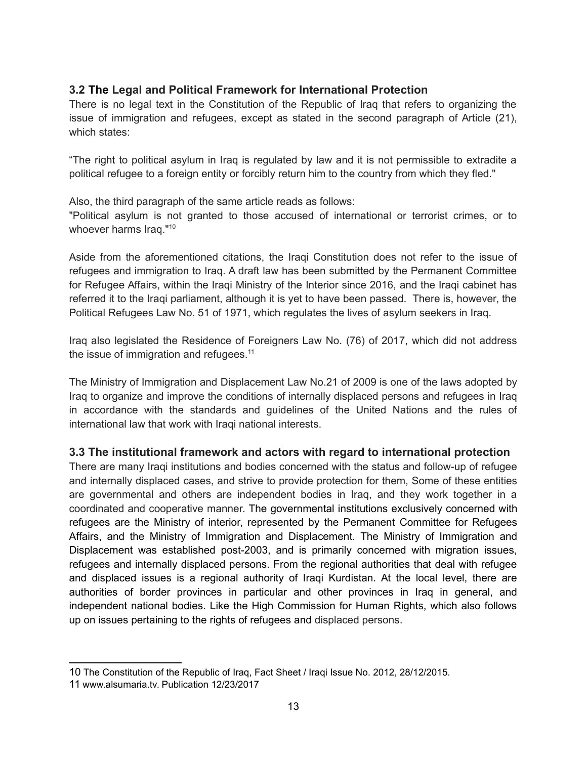#### **3.2 The Legal and Political Framework for International Protection**

There is no legal text in the Constitution of the Republic of Iraq that refers to organizing the issue of immigration and refugees, except as stated in the second paragraph of Article (21), which states:

"The right to political asylum in Iraq is regulated by law and it is not permissible to extradite a political refugee to a foreign entity or forcibly return him to the country from which they fled."

Also, the third paragraph of the same article reads as follows:

"Political asylum is not granted to those accused of international or terrorist crimes, or to whoever harms Iraq."<sup>[10](#page-12-0)</sup>

Aside from the aforementioned citations, the Iraqi Constitution does not refer to the issue of refugees and immigration to Iraq. A draft law has been submitted by the Permanent Committee for Refugee Affairs, within the Iraqi Ministry of the Interior since 2016, and the Iraqi cabinet has referred it to the Iraqi parliament, although it is yet to have been passed. There is, however, the Political Refugees Law No. 51 of 1971, which regulates the lives of asylum seekers in Iraq.

Iraq also legislated the Residence of Foreigners Law No. (76) of 2017, which did not address the issue of immigration and refugees. $11$ 

The Ministry of Immigration and Displacement Law No.21 of 2009 is one of the laws adopted by Iraq to organize and improve the conditions of internally displaced persons and refugees in Iraq in accordance with the standards and guidelines of the United Nations and the rules of international law that work with Iraqi national interests.

#### **3.3 The institutional framework and actors with regard to international protection**

There are many Iraqi institutions and bodies concerned with the status and follow-up of refugee and internally displaced cases, and strive to provide protection for them, Some of these entities are governmental and others are independent bodies in Iraq, and they work together in a coordinated and cooperative manner. The governmental institutions exclusively concerned with refugees are the Ministry of interior, represented by the Permanent Committee for Refugees Affairs, and the Ministry of Immigration and Displacement. The Ministry of Immigration and Displacement was established post-2003, and is primarily concerned with migration issues, refugees and internally displaced persons. From the regional authorities that deal with refugee and displaced issues is a regional authority of Iraqi Kurdistan. At the local level, there are authorities of border provinces in particular and other provinces in Iraq in general, and independent national bodies. Like the High Commission for Human Rights, which also follows up on issues pertaining to the rights of refugees and displaced persons.

<span id="page-12-0"></span><sup>10</sup> The Constitution of the Republic of Iraq, Fact Sheet / Iraqi Issue No. 2012, 28/12/2015.

<span id="page-12-1"></span><sup>11</sup> www.alsumaria.tv. Publication 12/23/2017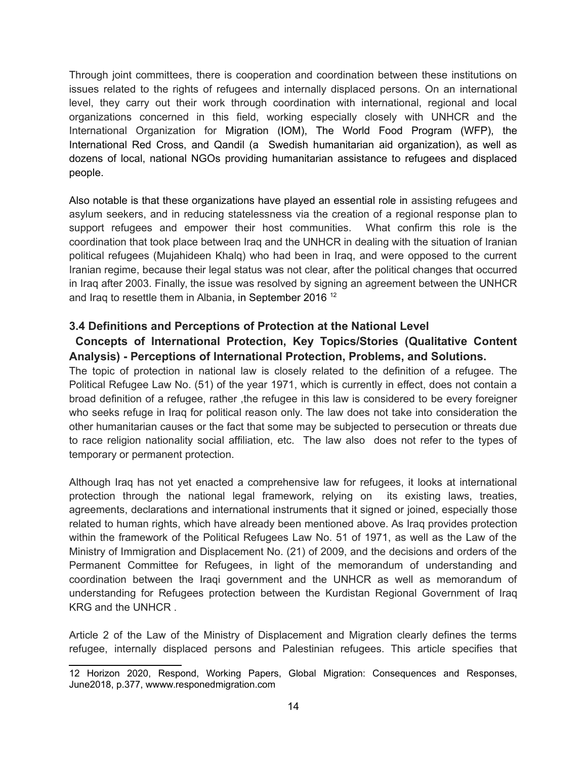Through joint committees, there is cooperation and coordination between these institutions on issues related to the rights of refugees and internally displaced persons. On an international level, they carry out their work through coordination with international, regional and local organizations concerned in this field, working especially closely with UNHCR and the International Organization for Migration (IOM), The World Food Program (WFP), the International Red Cross, and Qandil (a Swedish humanitarian aid organization), as well as dozens of local, national NGOs providing humanitarian assistance to refugees and displaced people.

Also notable is that these organizations have played an essential role in assisting refugees and asylum seekers, and in reducing statelessness via the creation of a regional response plan to support refugees and empower their host communities. What confirm this role is the coordination that took place between Iraq and the UNHCR in dealing with the situation of Iranian political refugees (Mujahideen Khalq) who had been in Iraq, and were opposed to the current Iranian regime, because their legal status was not clear, after the political changes that occurred in Iraq after 2003. Finally, the issue was resolved by signing an agreement between the UNHCR and Iraq to resettle them in Albania, in September 2016 [12](#page-13-0)

#### **3.4 Definitions and Perceptions of Protection at the National Level**

#### **Concepts of International Protection, Key Topics/Stories (Qualitative Content Analysis) - Perceptions of International Protection, Problems, and Solutions.**

The topic of protection in national law is closely related to the definition of a refugee. The Political Refugee Law No. (51) of the year 1971, which is currently in effect, does not contain a broad definition of a refugee, rather ,the refugee in this law is considered to be every foreigner who seeks refuge in Iraq for political reason only. The law does not take into consideration the other humanitarian causes or the fact that some may be subjected to persecution or threats due to race religion nationality social affiliation, etc. The law also does not refer to the types of temporary or permanent protection.

Although Iraq has not yet enacted a comprehensive law for refugees, it looks at international protection through the national legal framework, relying on its existing laws, treaties, agreements, declarations and international instruments that it signed or joined, especially those related to human rights, which have already been mentioned above. As Iraq provides protection within the framework of the Political Refugees Law No. 51 of 1971, as well as the Law of the Ministry of Immigration and Displacement No. (21) of 2009, and the decisions and orders of the Permanent Committee for Refugees, in light of the memorandum of understanding and coordination between the Iraqi government and the UNHCR as well as memorandum of understanding for Refugees protection between the Kurdistan Regional Government of Iraq KRG and the UNHCR .

Article 2 of the Law of the Ministry of Displacement and Migration clearly defines the terms refugee, internally displaced persons and Palestinian refugees. This article specifies that

<span id="page-13-0"></span><sup>12</sup> Horizon 2020, Respond, Working Papers, Global Migration: Consequences and Responses, June2018, p.377, wwww.responedmigration.com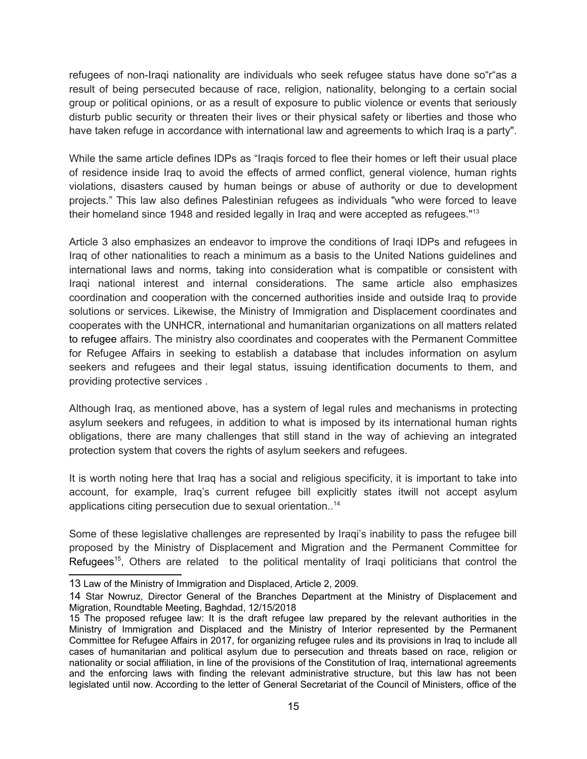refugees of non-Iraqi nationality are individuals who seek refugee status have done so"r"as a result of being persecuted because of race, religion, nationality, belonging to a certain social group or political opinions, or as a result of exposure to public violence or events that seriously disturb public security or threaten their lives or their physical safety or liberties and those who have taken refuge in accordance with international law and agreements to which Iraq is a party".

While the same article defines IDPs as "Iraqis forced to flee their homes or left their usual place of residence inside Iraq to avoid the effects of armed conflict, general violence, human rights violations, disasters caused by human beings or abuse of authority or due to development projects." This law also defines Palestinian refugees as individuals "who were forced to leave their homeland since 1948 and resided legally in Iraq and were accepted as refugees."[13](#page-14-0)

Article 3 also emphasizes an endeavor to improve the conditions of Iraqi IDPs and refugees in Iraq of other nationalities to reach a minimum as a basis to the United Nations guidelines and international laws and norms, taking into consideration what is compatible or consistent with Iraqi national interest and internal considerations. The same article also emphasizes coordination and cooperation with the concerned authorities inside and outside Iraq to provide solutions or services. Likewise, the Ministry of Immigration and Displacement coordinates and cooperates with the UNHCR, international and humanitarian organizations on all matters related to refugee affairs. The ministry also coordinates and cooperates with the Permanent Committee for Refugee Affairs in seeking to establish a database that includes information on asylum seekers and refugees and their legal status, issuing identification documents to them, and providing protective services .

Although Iraq, as mentioned above, has a system of legal rules and mechanisms in protecting asylum seekers and refugees, in addition to what is imposed by its international human rights obligations, there are many challenges that still stand in the way of achieving an integrated protection system that covers the rights of asylum seekers and refugees.

It is worth noting here that Iraq has a social and religious specificity, it is important to take into account, for example, Iraq's current refugee bill explicitly states itwill not accept asylum applications citing persecution due to sexual orientation..[14](#page-14-1)

Some of these legislative challenges are represented by Iraqi's inability to pass the refugee bill proposed by the Ministry of Displacement and Migration and the Permanent Committee for Refugees<sup>[15](#page-14-2)</sup>, Others are related to the political mentality of Iraqi politicians that control the

<span id="page-14-0"></span><sup>13</sup> Law of the Ministry of Immigration and Displaced, Article 2, 2009.

<span id="page-14-1"></span><sup>14</sup> Star Nowruz, Director General of the Branches Department at the Ministry of Displacement and Migration, Roundtable Meeting, Baghdad, 12/15/2018

<span id="page-14-2"></span><sup>15</sup> The proposed refugee law: It is the draft refugee law prepared by the relevant authorities in the Ministry of Immigration and Displaced and the Ministry of Interior represented by the Permanent Committee for Refugee Affairs in 2017, for organizing refugee rules and its provisions in Iraq to include all cases of humanitarian and political asylum due to persecution and threats based on race, religion or nationality or social affiliation, in line of the provisions of the Constitution of Iraq, international agreements and the enforcing laws with finding the relevant administrative structure, but this law has not been legislated until now. According to the letter of General Secretariat of the Council of Ministers, office of the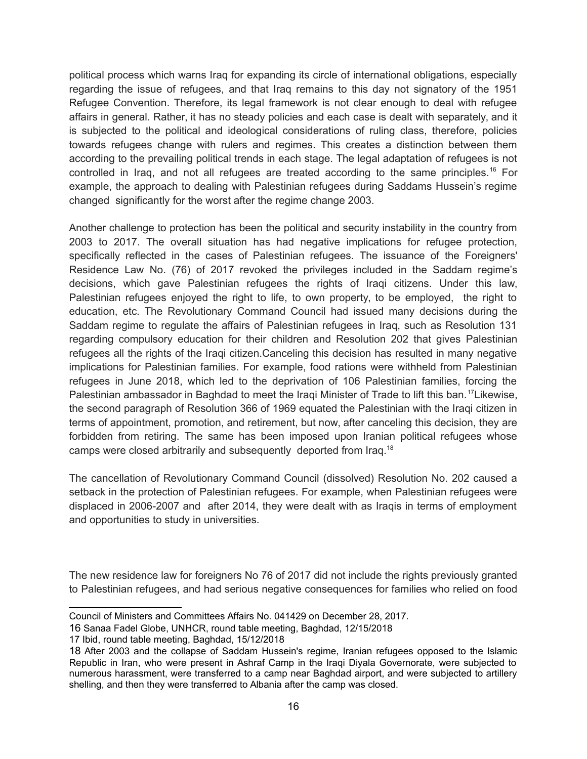political process which warns Iraq for expanding its circle of international obligations, especially regarding the issue of refugees, and that Iraq remains to this day not signatory of the 1951 Refugee Convention. Therefore, its legal framework is not clear enough to deal with refugee affairs in general. Rather, it has no steady policies and each case is dealt with separately, and it is subjected to the political and ideological considerations of ruling class, therefore, policies towards refugees change with rulers and regimes. This creates a distinction between them according to the prevailing political trends in each stage. The legal adaptation of refugees is not controlled in Iraq, and not all refugees are treated according to the same principles.<sup>[16](#page-15-0)</sup> For example, the approach to dealing with Palestinian refugees during Saddams Hussein's regime changed significantly for the worst after the regime change 2003.

Another challenge to protection has been the political and security instability in the country from 2003 to 2017. The overall situation has had negative implications for refugee protection, specifically reflected in the cases of Palestinian refugees. The issuance of the Foreigners' Residence Law No. (76) of 2017 revoked the privileges included in the Saddam regime's decisions, which gave Palestinian refugees the rights of Iraqi citizens. Under this law, Palestinian refugees enjoyed the right to life, to own property, to be employed, the right to education, etc. The Revolutionary Command Council had issued many decisions during the Saddam regime to regulate the affairs of Palestinian refugees in Iraq, such as Resolution 131 regarding compulsory education for their children and Resolution 202 that gives Palestinian refugees all the rights of the Iraqi citizen.Canceling this decision has resulted in many negative implications for Palestinian families. For example, food rations were withheld from Palestinian refugees in June 2018, which led to the deprivation of 106 Palestinian families, forcing the Palestinian ambassador in Baghdad to meet the Iraqi Minister of Trade to lift this ban.<sup>[17](#page-15-1)</sup>Likewise, the second paragraph of Resolution 366 of 1969 equated the Palestinian with the Iraqi citizen in terms of appointment, promotion, and retirement, but now, after canceling this decision, they are forbidden from retiring. The same has been imposed upon Iranian political refugees whose camps were closed arbitrarily and subsequently deported from Iraq.[18](#page-15-2)

The cancellation of Revolutionary Command Council (dissolved) Resolution No. 202 caused a setback in the protection of Palestinian refugees. For example, when Palestinian refugees were displaced in 2006-2007 and after 2014, they were dealt with as Iraqis in terms of employment and opportunities to study in universities.

The new residence law for foreigners No 76 of 2017 did not include the rights previously granted to Palestinian refugees, and had serious negative consequences for families who relied on food

Council of Ministers and Committees Affairs No. 041429 on December 28, 2017.

<span id="page-15-0"></span><sup>16</sup> Sanaa Fadel Globe, UNHCR, round table meeting, Baghdad, 12/15/2018

<span id="page-15-1"></span><sup>17</sup> Ibid, round table meeting, Baghdad, 15/12/2018

<span id="page-15-2"></span><sup>18</sup> After 2003 and the collapse of Saddam Hussein's regime, Iranian refugees opposed to the Islamic Republic in Iran, who were present in Ashraf Camp in the Iraqi Diyala Governorate, were subjected to numerous harassment, were transferred to a camp near Baghdad airport, and were subjected to artillery shelling, and then they were transferred to Albania after the camp was closed.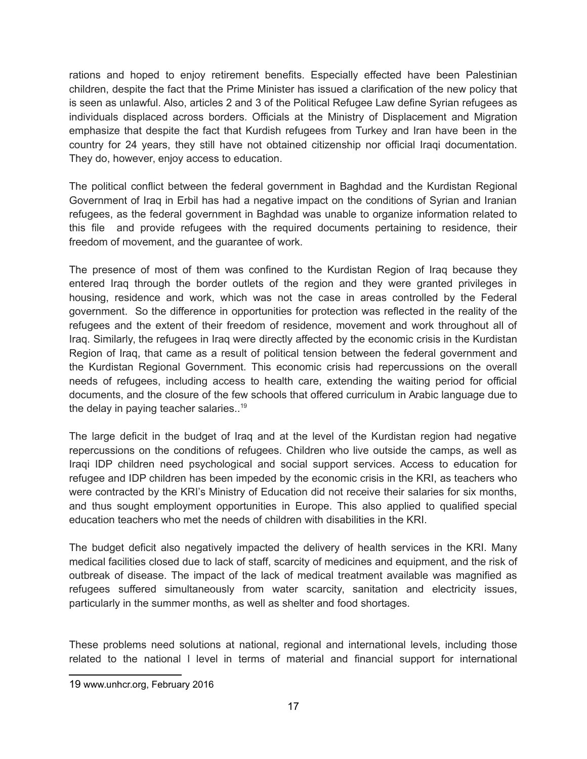rations and hoped to enjoy retirement benefits. Especially effected have been Palestinian children, despite the fact that the Prime Minister has issued a clarification of the new policy that is seen as unlawful. Also, articles 2 and 3 of the Political Refugee Law define Syrian refugees as individuals displaced across borders. Officials at the Ministry of Displacement and Migration emphasize that despite the fact that Kurdish refugees from Turkey and Iran have been in the country for 24 years, they still have not obtained citizenship nor official Iraqi documentation. They do, however, enjoy access to education.

The political conflict between the federal government in Baghdad and the Kurdistan Regional Government of Iraq in Erbil has had a negative impact on the conditions of Syrian and Iranian refugees, as the federal government in Baghdad was unable to organize information related to this file and provide refugees with the required documents pertaining to residence, their freedom of movement, and the guarantee of work.

The presence of most of them was confined to the Kurdistan Region of Iraq because they entered Iraq through the border outlets of the region and they were granted privileges in housing, residence and work, which was not the case in areas controlled by the Federal government. So the difference in opportunities for protection was reflected in the reality of the refugees and the extent of their freedom of residence, movement and work throughout all of Iraq. Similarly, the refugees in Iraq were directly affected by the economic crisis in the Kurdistan Region of Iraq, that came as a result of political tension between the federal government and the Kurdistan Regional Government. This economic crisis had repercussions on the overall needs of refugees, including access to health care, extending the waiting period for official documents, and the closure of the few schools that offered curriculum in Arabic language due to the delay in paying teacher salaries.<sup>[19](#page-16-0)</sup>

The large deficit in the budget of Iraq and at the level of the Kurdistan region had negative repercussions on the conditions of refugees. Children who live outside the camps, as well as Iraqi IDP children need psychological and social support services. Access to education for refugee and IDP children has been impeded by the economic crisis in the KRI, as teachers who were contracted by the KRI's Ministry of Education did not receive their salaries for six months, and thus sought employment opportunities in Europe. This also applied to qualified special education teachers who met the needs of children with disabilities in the KRI.

The budget deficit also negatively impacted the delivery of health services in the KRI. Many medical facilities closed due to lack of staff, scarcity of medicines and equipment, and the risk of outbreak of disease. The impact of the lack of medical treatment available was magnified as refugees suffered simultaneously from water scarcity, sanitation and electricity issues, particularly in the summer months, as well as shelter and food shortages.

These problems need solutions at national, regional and international levels, including those related to the national l level in terms of material and financial support for international

<span id="page-16-0"></span><sup>19</sup> www.unhcr.org, February 2016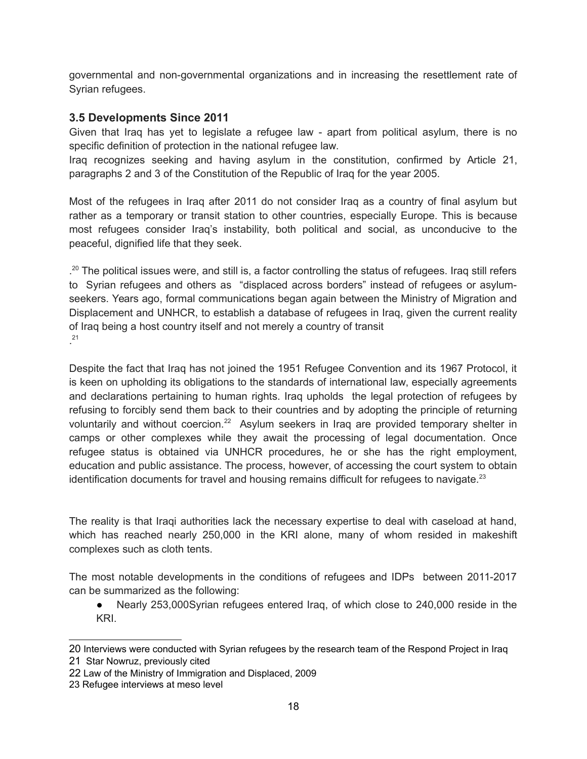governmental and non-governmental organizations and in increasing the resettlement rate of Syrian refugees.

#### **3.5 Developments Since 2011**

Given that Iraq has yet to legislate a refugee law - apart from political asylum, there is no specific definition of protection in the national refugee law.

Iraq recognizes seeking and having asylum in the constitution, confirmed by Article 21, paragraphs 2 and 3 of the Constitution of the Republic of Iraq for the year 2005.

Most of the refugees in Iraq after 2011 do not consider Iraq as a country of final asylum but rather as a temporary or transit station to other countries, especially Europe. This is because most refugees consider Iraq's instability, both political and social, as unconducive to the peaceful, dignified life that they seek.

.<sup>[20](#page-17-0)</sup> The political issues were, and still is, a factor controlling the status of refugees. Iraq still refers to Syrian refugees and others as "displaced across borders" instead of refugees or asylumseekers. Years ago, formal communications began again between the Ministry of Migration and Displacement and UNHCR, to establish a database of refugees in Iraq, given the current reality of Iraq being a host country itself and not merely a country of transit . [21](#page-17-1)

Despite the fact that Iraq has not joined the 1951 Refugee Convention and its 1967 Protocol, it is keen on upholding its obligations to the standards of international law, especially agreements and declarations pertaining to human rights. Iraq upholds the legal protection of refugees by refusing to forcibly send them back to their countries and by adopting the principle of returning voluntarily and without coercion.<sup>[22](#page-17-2)</sup> Asylum seekers in Iraq are provided temporary shelter in camps or other complexes while they await the processing of legal documentation. Once refugee status is obtained via UNHCR procedures, he or she has the right employment, education and public assistance. The process, however, of accessing the court system to obtain identification documents for travel and housing remains difficult for refugees to navigate. $^{23}$  $^{23}$  $^{23}$ 

The reality is that Iraqi authorities lack the necessary expertise to deal with caseload at hand, which has reached nearly 250,000 in the KRI alone, many of whom resided in makeshift complexes such as cloth tents.

The most notable developments in the conditions of refugees and IDPs between 2011-2017 can be summarized as the following:

● Nearly 253,000Syrian refugees entered Iraq, of which close to 240,000 reside in the KRI.

<span id="page-17-1"></span><span id="page-17-0"></span><sup>20</sup> Interviews were conducted with Syrian refugees by the research team of the Respond Project in Iraq 21 Star Nowruz, previously cited

<span id="page-17-2"></span><sup>22</sup> Law of the Ministry of Immigration and Displaced, 2009

<span id="page-17-3"></span><sup>23</sup> Refugee interviews at meso level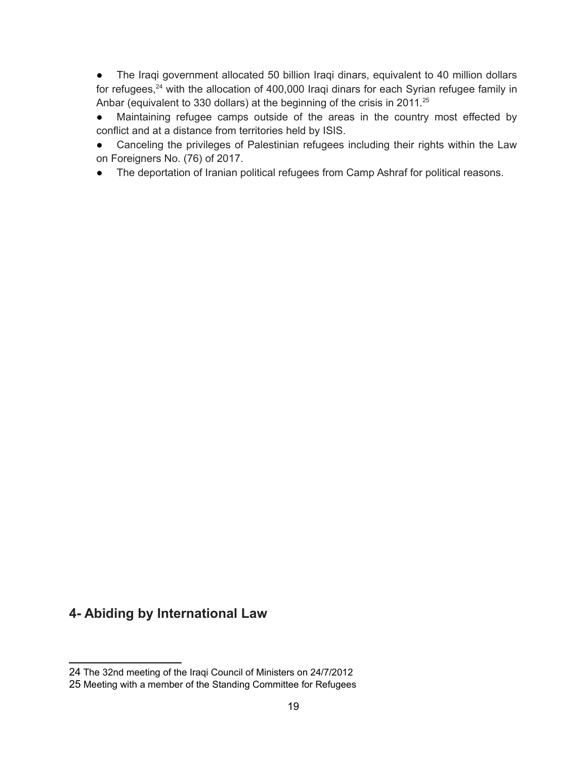● The Iraqi government allocated 50 billion Iraqi dinars, equivalent to 40 million dollars for refugees,<sup>[24](#page-18-0)</sup> with the allocation of 400,000 Iraqi dinars for each Syrian refugee family in Anbar (equivalent to 330 dollars) at the beginning of the crisis in 2011.<sup>[25](#page-18-1)</sup>

● Maintaining refugee camps outside of the areas in the country most effected by conflict and at a distance from territories held by ISIS.

● Canceling the privileges of Palestinian refugees including their rights within the Law on Foreigners No. (76) of 2017.

● The deportation of Iranian political refugees from Camp Ashraf for political reasons.

## **4- Abiding by International Law**

<span id="page-18-0"></span><sup>24</sup> The 32nd meeting of the Iraqi Council of Ministers on 24/7/2012

<span id="page-18-1"></span><sup>25</sup> Meeting with a member of the Standing Committee for Refugees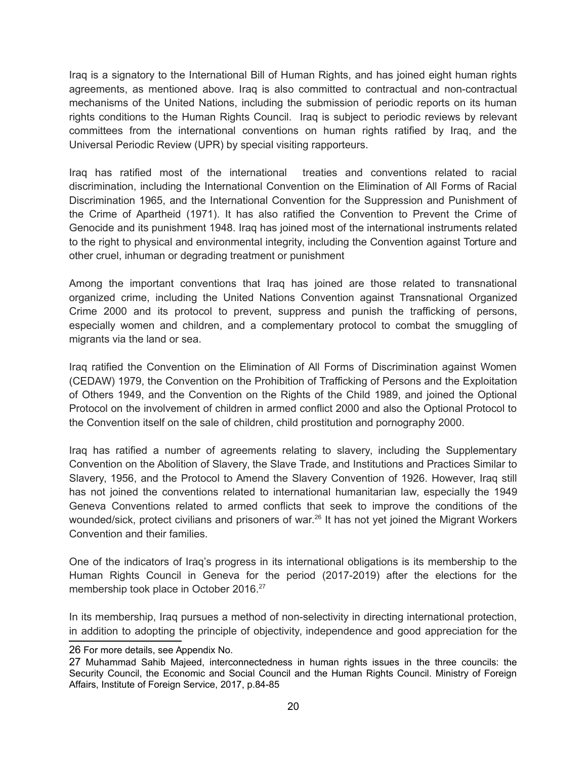Iraq is a signatory to the International Bill of Human Rights, and has joined eight human rights agreements, as mentioned above. Iraq is also committed to contractual and non-contractual mechanisms of the United Nations, including the submission of periodic reports on its human rights conditions to the Human Rights Council. Iraq is subject to periodic reviews by relevant committees from the international conventions on human rights ratified by Iraq, and the Universal Periodic Review (UPR) by special visiting rapporteurs.

Iraq has ratified most of the international treaties and conventions related to racial discrimination, including the International Convention on the Elimination of All Forms of Racial Discrimination 1965, and the International Convention for the Suppression and Punishment of the Crime of Apartheid (1971). It has also ratified the Convention to Prevent the Crime of Genocide and its punishment 1948. Iraq has joined most of the international instruments related to the right to physical and environmental integrity, including the Convention against Torture and other cruel, inhuman or degrading treatment or punishment

Among the important conventions that Iraq has joined are those related to transnational organized crime, including the United Nations Convention against Transnational Organized Crime 2000 and its protocol to prevent, suppress and punish the trafficking of persons, especially women and children, and a complementary protocol to combat the smuggling of migrants via the land or sea.

Iraq ratified the Convention on the Elimination of All Forms of Discrimination against Women (CEDAW) 1979, the Convention on the Prohibition of Trafficking of Persons and the Exploitation of Others 1949, and the Convention on the Rights of the Child 1989, and joined the Optional Protocol on the involvement of children in armed conflict 2000 and also the Optional Protocol to the Convention itself on the sale of children, child prostitution and pornography 2000.

Iraq has ratified a number of agreements relating to slavery, including the Supplementary Convention on the Abolition of Slavery, the Slave Trade, and Institutions and Practices Similar to Slavery, 1956, and the Protocol to Amend the Slavery Convention of 1926. However, Iraq still has not joined the conventions related to international humanitarian law, especially the 1949 Geneva Conventions related to armed conflicts that seek to improve the conditions of the wounded/sick, protect civilians and prisoners of war.<sup>[26](#page-19-0)</sup> It has not yet joined the Migrant Workers Convention and their families.

One of the indicators of Iraq's progress in its international obligations is its membership to the Human Rights Council in Geneva for the period (2017-2019) after the elections for the membership took place in October 2016.<sup>[27](#page-19-1)</sup>

In its membership, Iraq pursues a method of non-selectivity in directing international protection, in addition to adopting the principle of objectivity, independence and good appreciation for the

<span id="page-19-0"></span><sup>26</sup> For more details, see Appendix No.

<span id="page-19-1"></span><sup>27</sup> Muhammad Sahib Majeed, interconnectedness in human rights issues in the three councils: the Security Council, the Economic and Social Council and the Human Rights Council. Ministry of Foreign Affairs, Institute of Foreign Service, 2017, p.84-85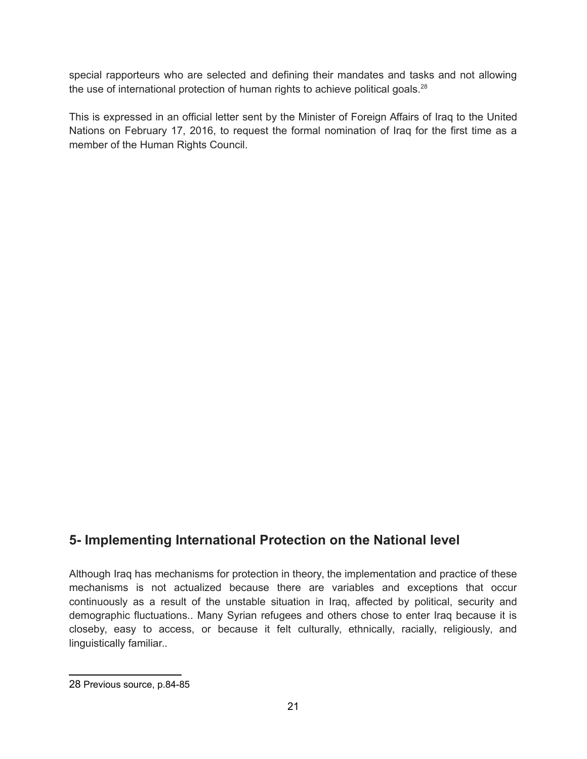special rapporteurs who are selected and defining their mandates and tasks and not allowing the use of international protection of human rights to achieve political goals.<sup>[28](#page-20-0)</sup>

This is expressed in an official letter sent by the Minister of Foreign Affairs of Iraq to the United Nations on February 17, 2016, to request the formal nomination of Iraq for the first time as a member of the Human Rights Council.

## **5- Implementing International Protection on the National level**

Although Iraq has mechanisms for protection in theory, the implementation and practice of these mechanisms is not actualized because there are variables and exceptions that occur continuously as a result of the unstable situation in Iraq, affected by political, security and demographic fluctuations.. Many Syrian refugees and others chose to enter Iraq because it is closeby, easy to access, or because it felt culturally, ethnically, racially, religiously, and linguistically familiar..

<span id="page-20-0"></span><sup>28</sup> Previous source, p.84-85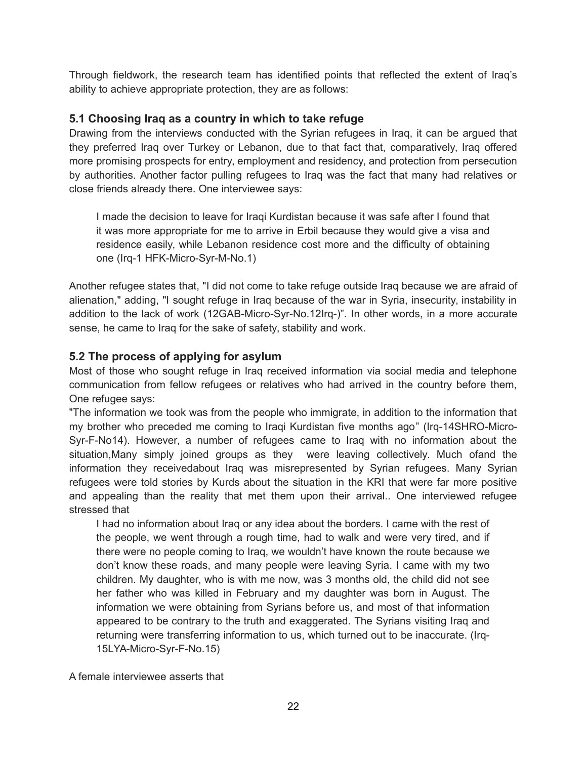Through fieldwork, the research team has identified points that reflected the extent of Iraq's ability to achieve appropriate protection, they are as follows:

#### **5.1 Choosing Iraq as a country in which to take refuge**

Drawing from the interviews conducted with the Syrian refugees in Iraq, it can be argued that they preferred Iraq over Turkey or Lebanon, due to that fact that, comparatively, Iraq offered more promising prospects for entry, employment and residency, and protection from persecution by authorities. Another factor pulling refugees to Iraq was the fact that many had relatives or close friends already there. One interviewee says:

I made the decision to leave for Iraqi Kurdistan because it was safe after I found that it was more appropriate for me to arrive in Erbil because they would give a visa and residence easily, while Lebanon residence cost more and the difficulty of obtaining one (Irq-1 HFK-Micro-Syr-M-No.1)

Another refugee states that, "I did not come to take refuge outside Iraq because we are afraid of alienation," adding, "I sought refuge in Iraq because of the war in Syria, insecurity, instability in addition to the lack of work (12GAB-Micro-Syr-No.12Irq-)". In other words, in a more accurate sense, he came to Iraq for the sake of safety, stability and work.

#### **5.2 The process of applying for asylum**

Most of those who sought refuge in Iraq received information via social media and telephone communication from fellow refugees or relatives who had arrived in the country before them, One refugee says:

"The information we took was from the people who immigrate, in addition to the information that my brother who preceded me coming to Iraqi Kurdistan five months ago" (Irq-14SHRO-Micro-Syr-F-No14). However, a number of refugees came to Iraq with no information about the situation,Many simply joined groups as they were leaving collectively. Much ofand the information they receivedabout Iraq was misrepresented by Syrian refugees. Many Syrian refugees were told stories by Kurds about the situation in the KRI that were far more positive and appealing than the reality that met them upon their arrival.. One interviewed refugee stressed that

I had no information about Iraq or any idea about the borders. I came with the rest of the people, we went through a rough time, had to walk and were very tired, and if there were no people coming to Iraq, we wouldn't have known the route because we don't know these roads, and many people were leaving Syria. I came with my two children. My daughter, who is with me now, was 3 months old, the child did not see her father who was killed in February and my daughter was born in August. The information we were obtaining from Syrians before us, and most of that information appeared to be contrary to the truth and exaggerated. The Syrians visiting Iraq and returning were transferring information to us, which turned out to be inaccurate. (Irq-15LYA-Micro-Syr-F-No.15)

A female interviewee asserts that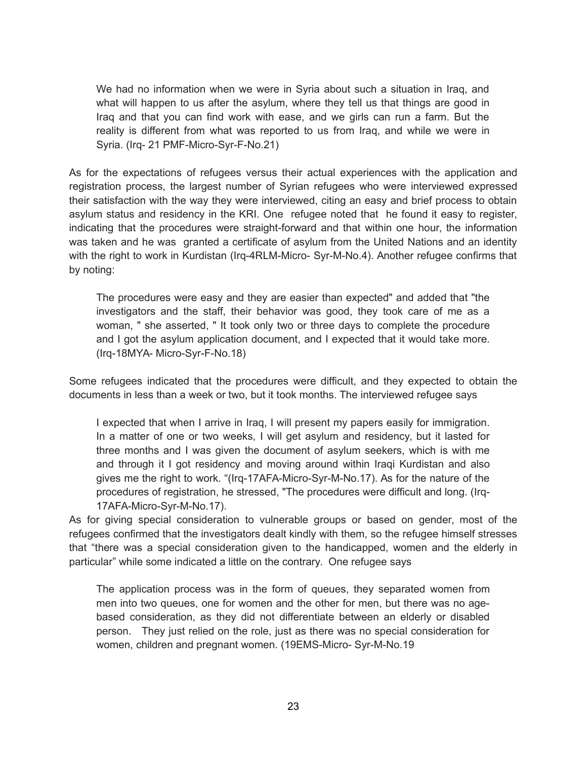We had no information when we were in Syria about such a situation in Iraq, and what will happen to us after the asylum, where they tell us that things are good in Iraq and that you can find work with ease, and we girls can run a farm. But the reality is different from what was reported to us from Iraq, and while we were in Syria. (Irq- 21 PMF-Micro-Syr-F-No.21)

As for the expectations of refugees versus their actual experiences with the application and registration process, the largest number of Syrian refugees who were interviewed expressed their satisfaction with the way they were interviewed, citing an easy and brief process to obtain asylum status and residency in the KRI. One refugee noted that he found it easy to register, indicating that the procedures were straight-forward and that within one hour, the information was taken and he was granted a certificate of asylum from the United Nations and an identity with the right to work in Kurdistan (Irq-4RLM-Micro- Syr-M-No.4). Another refugee confirms that by noting:

The procedures were easy and they are easier than expected" and added that "the investigators and the staff, their behavior was good, they took care of me as a woman, " she asserted, " It took only two or three days to complete the procedure and I got the asylum application document, and I expected that it would take more. (Irq-18MYA- Micro-Syr-F-No.18)

Some refugees indicated that the procedures were difficult, and they expected to obtain the documents in less than a week or two, but it took months. The interviewed refugee says

I expected that when I arrive in Iraq, I will present my papers easily for immigration. In a matter of one or two weeks, I will get asylum and residency, but it lasted for three months and I was given the document of asylum seekers, which is with me and through it I got residency and moving around within Iraqi Kurdistan and also gives me the right to work. "(Irq-17AFA-Micro-Syr-M-No.17). As for the nature of the procedures of registration, he stressed, "The procedures were difficult and long. (Irq-17AFA-Micro-Syr-M-No.17).

As for giving special consideration to vulnerable groups or based on gender, most of the refugees confirmed that the investigators dealt kindly with them, so the refugee himself stresses that "there was a special consideration given to the handicapped, women and the elderly in particular" while some indicated a little on the contrary. One refugee says

The application process was in the form of queues, they separated women from men into two queues, one for women and the other for men, but there was no agebased consideration, as they did not differentiate between an elderly or disabled person. They just relied on the role, just as there was no special consideration for women, children and pregnant women. (19EMS-Micro- Syr-M-No.19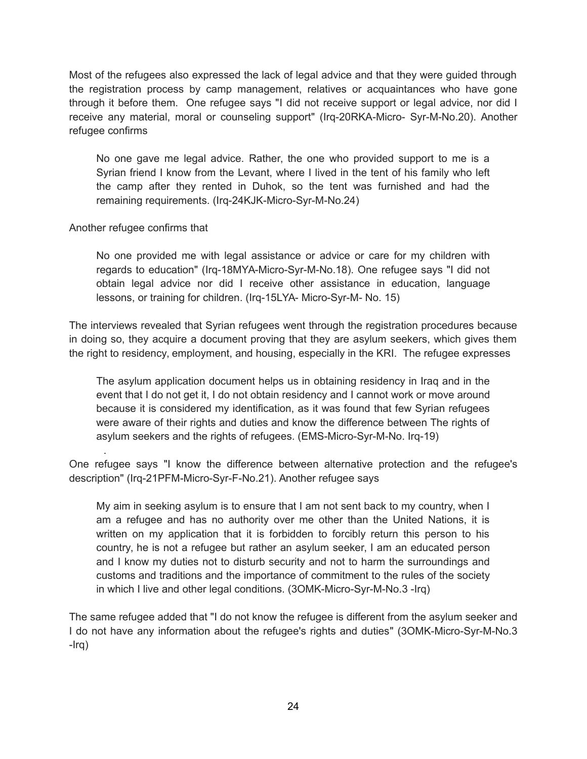Most of the refugees also expressed the lack of legal advice and that they were guided through the registration process by camp management, relatives or acquaintances who have gone through it before them. One refugee says "I did not receive support or legal advice, nor did I receive any material, moral or counseling support" (Irq-20RKA-Micro- Syr-M-No.20). Another refugee confirms

No one gave me legal advice. Rather, the one who provided support to me is a Syrian friend I know from the Levant, where I lived in the tent of his family who left the camp after they rented in Duhok, so the tent was furnished and had the remaining requirements. (Irq-24KJK-Micro-Syr-M-No.24)

#### Another refugee confirms that

.

No one provided me with legal assistance or advice or care for my children with regards to education" (Irq-18MYA-Micro-Syr-M-No.18). One refugee says "I did not obtain legal advice nor did I receive other assistance in education, language lessons, or training for children. (Irq-15LYA- Micro-Syr-M- No. 15)

The interviews revealed that Syrian refugees went through the registration procedures because in doing so, they acquire a document proving that they are asylum seekers, which gives them the right to residency, employment, and housing, especially in the KRI. The refugee expresses

The asylum application document helps us in obtaining residency in Iraq and in the event that I do not get it, I do not obtain residency and I cannot work or move around because it is considered my identification, as it was found that few Syrian refugees were aware of their rights and duties and know the difference between The rights of asylum seekers and the rights of refugees. (EMS-Micro-Syr-M-No. Irq-19)

One refugee says "I know the difference between alternative protection and the refugee's description" (Irq-21PFM-Micro-Syr-F-No.21). Another refugee says

My aim in seeking asylum is to ensure that I am not sent back to my country, when I am a refugee and has no authority over me other than the United Nations, it is written on my application that it is forbidden to forcibly return this person to his country, he is not a refugee but rather an asylum seeker, I am an educated person and I know my duties not to disturb security and not to harm the surroundings and customs and traditions and the importance of commitment to the rules of the society in which I live and other legal conditions. (3OMK-Micro-Syr-M-No.3 -Irq)

The same refugee added that "I do not know the refugee is different from the asylum seeker and I do not have any information about the refugee's rights and duties" (3OMK-Micro-Syr-M-No.3 -Irq)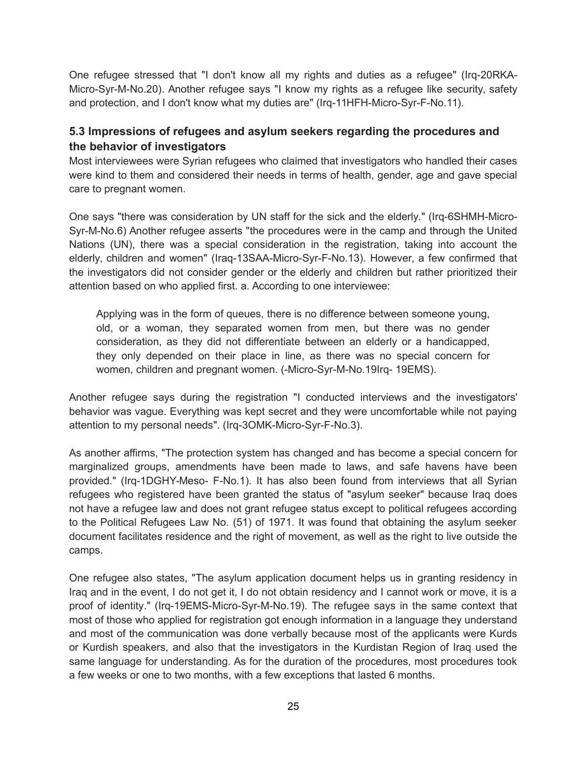One refugee stressed that "I don't know all my rights and duties as a refugee" (Irq-20RKA-Micro-Syr-M-No.20). Another refugee says "I know my rights as a refugee like security, safety and protection, and I don't know what my duties are" (Irq-11HFH-Micro-Syr-F-No.11).

#### **5.3 Impressions of refugees and asylum seekers regarding the procedures and the behavior of investigators**

Most interviewees were Syrian refugees who claimed that investigators who handled their cases were kind to them and considered their needs in terms of health, gender, age and gave special care to pregnant women.

One says "there was consideration by UN staff for the sick and the elderly." (Irq-6SHMH-Micro-Syr-M-No.6) Another refugee asserts "the procedures were in the camp and through the United Nations (UN), there was a special consideration in the registration, taking into account the elderly, children and women" (Iraq-13SAA-Micro-Syr-F-No.13). However, a few confirmed that the investigators did not consider gender or the elderly and children but rather prioritized their attention based on who applied first. a. According to one interviewee:

Applying was in the form of queues, there is no difference between someone young, old, or a woman, they separated women from men, but there was no gender consideration, as they did not differentiate between an elderly or a handicapped, they only depended on their place in line, as there was no special concern for women, children and pregnant women. (-Micro-Syr-M-No.19Irq- 19EMS).

Another refugee says during the registration "I conducted interviews and the investigators' behavior was vague. Everything was kept secret and they were uncomfortable while not paying attention to my personal needs". (Irq-3OMK-Micro-Syr-F-No.3).

As another affirms, "The protection system has changed and has become a special concern for marginalized groups, amendments have been made to laws, and safe havens have been provided." (Irq-1DGHY-Meso- F-No.1). It has also been found from interviews that all Syrian refugees who registered have been granted the status of "asylum seeker" because Iraq does not have a refugee law and does not grant refugee status except to political refugees according to the Political Refugees Law No. (51) of 1971. It was found that obtaining the asylum seeker document facilitates residence and the right of movement, as well as the right to live outside the camps.

One refugee also states, "The asylum application document helps us in granting residency in Iraq and in the event, I do not get it, I do not obtain residency and I cannot work or move, it is a proof of identity." (Irq-19EMS-Micro-Syr-M-No.19). The refugee says in the same context that most of those who applied for registration got enough information in a language they understand and most of the communication was done verbally because most of the applicants were Kurds or Kurdish speakers, and also that the investigators in the Kurdistan Region of Iraq used the same language for understanding. As for the duration of the procedures, most procedures took a few weeks or one to two months, with a few exceptions that lasted 6 months.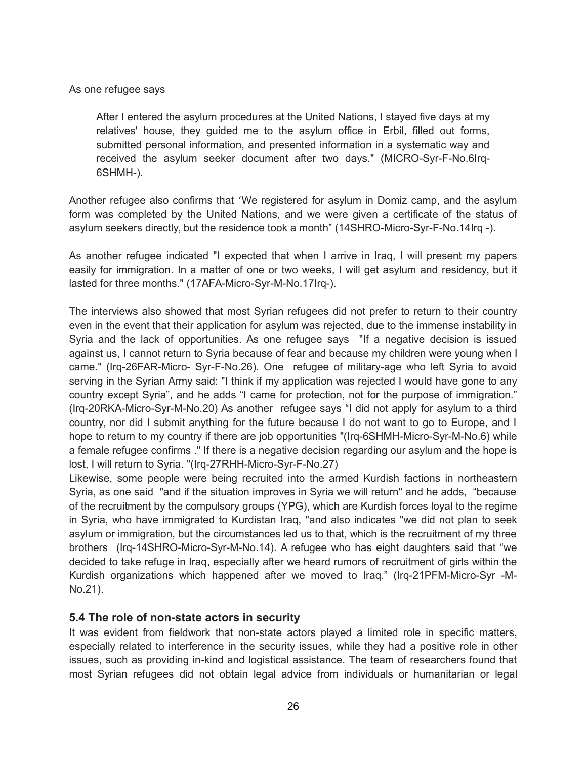As one refugee says

After I entered the asylum procedures at the United Nations, I stayed five days at my relatives' house, they guided me to the asylum office in Erbil, filled out forms, submitted personal information, and presented information in a systematic way and received the asylum seeker document after two days." (MICRO-Syr-F-No.6Irq-6SHMH-).

Another refugee also confirms that *"*We registered for asylum in Domiz camp, and the asylum form was completed by the United Nations, and we were given a certificate of the status of asylum seekers directly, but the residence took a month" (14SHRO-Micro-Syr-F-No.14Irq -).

As another refugee indicated "I expected that when I arrive in Iraq, I will present my papers easily for immigration. In a matter of one or two weeks, I will get asylum and residency, but it lasted for three months." (17AFA-Micro-Syr-M-No.17Irq-).

The interviews also showed that most Syrian refugees did not prefer to return to their country even in the event that their application for asylum was rejected, due to the immense instability in Syria and the lack of opportunities. As one refugee says "If a negative decision is issued against us, I cannot return to Syria because of fear and because my children were young when I came." (Irq-26FAR-Micro- Syr-F-No.26). One refugee of military-age who left Syria to avoid serving in the Syrian Army said: "I think if my application was rejected I would have gone to any country except Syria", and he adds "I came for protection, not for the purpose of immigration." (Irq-20RKA-Micro-Syr-M-No.20) As another refugee says "I did not apply for asylum to a third country, nor did I submit anything for the future because I do not want to go to Europe, and I hope to return to my country if there are job opportunities "(Irq-6SHMH-Micro-Syr-M-No.6) while a female refugee confirms ." If there is a negative decision regarding our asylum and the hope is lost, I will return to Syria. "(Irq-27RHH-Micro-Syr-F-No.27)

Likewise, some people were being recruited into the armed Kurdish factions in northeastern Syria, as one said "and if the situation improves in Syria we will return" and he adds, "because of the recruitment by the compulsory groups (YPG), which are Kurdish forces loyal to the regime in Syria, who have immigrated to Kurdistan Iraq, "and also indicates "we did not plan to seek asylum or immigration, but the circumstances led us to that, which is the recruitment of my three brothers (Irq-14SHRO-Micro-Syr-M-No.14). A refugee who has eight daughters said that "we decided to take refuge in Iraq, especially after we heard rumors of recruitment of girls within the Kurdish organizations which happened after we moved to Iraq." (Irq-21PFM-Micro-Syr -M-No.21).

#### **5.4 The role of non-state actors in security**

It was evident from fieldwork that non-state actors played a limited role in specific matters, especially related to interference in the security issues, while they had a positive role in other issues, such as providing in-kind and logistical assistance. The team of researchers found that most Syrian refugees did not obtain legal advice from individuals or humanitarian or legal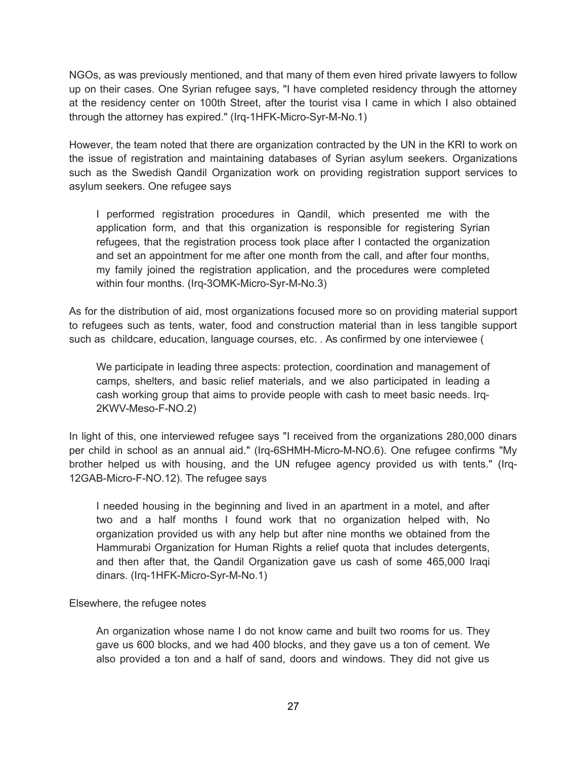NGOs, as was previously mentioned, and that many of them even hired private lawyers to follow up on their cases. One Syrian refugee says, "I have completed residency through the attorney at the residency center on 100th Street, after the tourist visa I came in which I also obtained through the attorney has expired." (Irq-1HFK-Micro-Syr-M-No.1)

However, the team noted that there are organization contracted by the UN in the KRI to work on the issue of registration and maintaining databases of Syrian asylum seekers. Organizations such as the Swedish Qandil Organization work on providing registration support services to asylum seekers. One refugee says

I performed registration procedures in Qandil, which presented me with the application form, and that this organization is responsible for registering Syrian refugees, that the registration process took place after I contacted the organization and set an appointment for me after one month from the call, and after four months, my family joined the registration application, and the procedures were completed within four months. (Irq-3OMK-Micro-Syr-M-No.3)

As for the distribution of aid, most organizations focused more so on providing material support to refugees such as tents, water, food and construction material than in less tangible support such as childcare, education, language courses, etc. . As confirmed by one interviewee (

We participate in leading three aspects: protection, coordination and management of camps, shelters, and basic relief materials, and we also participated in leading a cash working group that aims to provide people with cash to meet basic needs. Irq-2KWV-Meso-F-NO.2)

In light of this, one interviewed refugee says "I received from the organizations 280,000 dinars per child in school as an annual aid." (Irq-6SHMH-Micro-M-NO.6). One refugee confirms "My brother helped us with housing, and the UN refugee agency provided us with tents." (Irq-12GAB-Micro-F-NO.12). The refugee says

I needed housing in the beginning and lived in an apartment in a motel, and after two and a half months I found work that no organization helped with, No organization provided us with any help but after nine months we obtained from the Hammurabi Organization for Human Rights a relief quota that includes detergents, and then after that, the Qandil Organization gave us cash of some 465,000 Iraqi dinars. (Irq-1HFK-Micro-Syr-M-No.1)

Elsewhere, the refugee notes

An organization whose name I do not know came and built two rooms for us. They gave us 600 blocks, and we had 400 blocks, and they gave us a ton of cement. We also provided a ton and a half of sand, doors and windows. They did not give us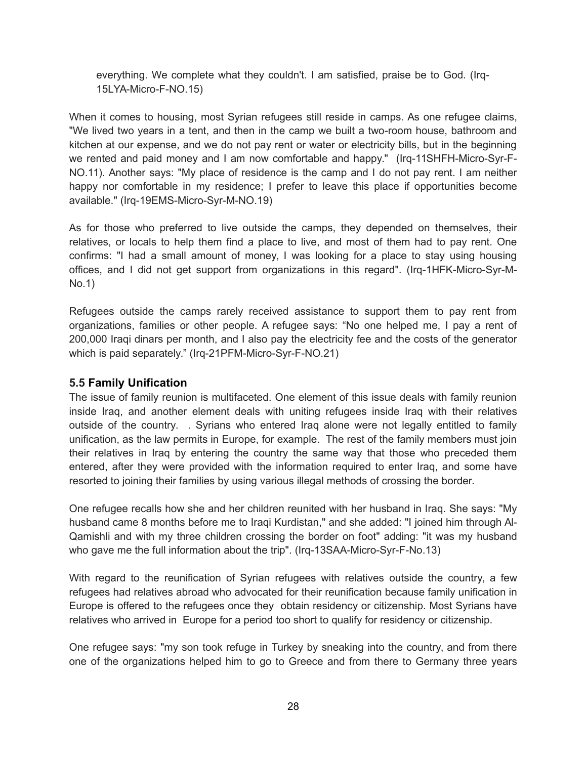everything. We complete what they couldn't. I am satisfied, praise be to God. (Irq-15LYA-Micro-F-NO.15)

When it comes to housing, most Syrian refugees still reside in camps. As one refugee claims, "We lived two years in a tent, and then in the camp we built a two-room house, bathroom and kitchen at our expense, and we do not pay rent or water or electricity bills, but in the beginning we rented and paid money and I am now comfortable and happy." (Irq-11SHFH-Micro-Syr-F-NO.11). Another says: "My place of residence is the camp and I do not pay rent. I am neither happy nor comfortable in my residence; I prefer to leave this place if opportunities become available." (Irq-19EMS-Micro-Syr-M-NO.19)

As for those who preferred to live outside the camps, they depended on themselves, their relatives, or locals to help them find a place to live, and most of them had to pay rent. One confirms: "I had a small amount of money, I was looking for a place to stay using housing offices, and I did not get support from organizations in this regard". (Irq-1HFK-Micro-Syr-M-No.1)

Refugees outside the camps rarely received assistance to support them to pay rent from organizations, families or other people. A refugee says: "No one helped me, I pay a rent of 200,000 Iraqi dinars per month, and I also pay the electricity fee and the costs of the generator which is paid separately." (Irq-21PFM-Micro-Syr-F-NO.21)

#### **5.5 Family Unification**

The issue of family reunion is multifaceted. One element of this issue deals with family reunion inside Iraq, and another element deals with uniting refugees inside Iraq with their relatives outside of the country. . Syrians who entered Iraq alone were not legally entitled to family unification, as the law permits in Europe, for example. The rest of the family members must join their relatives in Iraq by entering the country the same way that those who preceded them entered, after they were provided with the information required to enter Iraq, and some have resorted to joining their families by using various illegal methods of crossing the border.

One refugee recalls how she and her children reunited with her husband in Iraq. She says: "My husband came 8 months before me to Iraqi Kurdistan," and she added: "I joined him through Al-Qamishli and with my three children crossing the border on foot" adding: "it was my husband who gave me the full information about the trip". (Irq-13SAA-Micro-Syr-F-No.13)

With regard to the reunification of Syrian refugees with relatives outside the country, a few refugees had relatives abroad who advocated for their reunification because family unification in Europe is offered to the refugees once they obtain residency or citizenship. Most Syrians have relatives who arrived in Europe for a period too short to qualify for residency or citizenship.

One refugee says: "my son took refuge in Turkey by sneaking into the country, and from there one of the organizations helped him to go to Greece and from there to Germany three years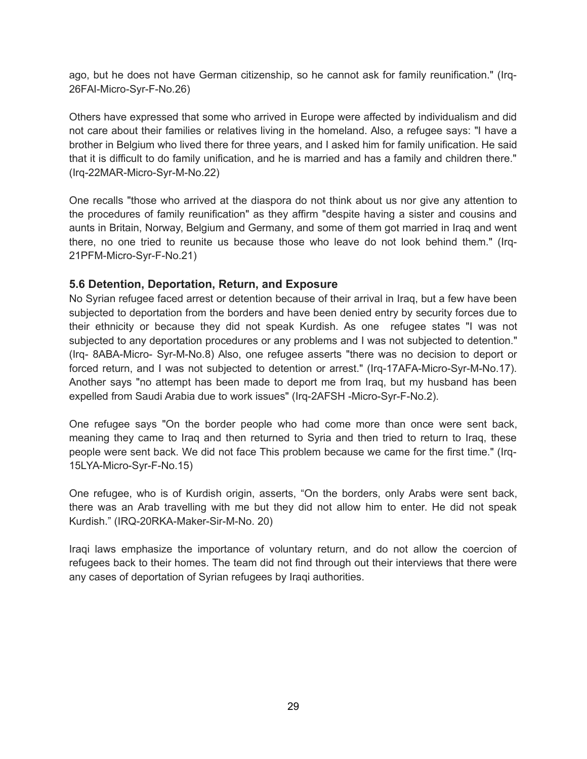ago, but he does not have German citizenship, so he cannot ask for family reunification." (Irq-26FAI-Micro-Syr-F-No.26)

Others have expressed that some who arrived in Europe were affected by individualism and did not care about their families or relatives living in the homeland. Also, a refugee says: "I have a brother in Belgium who lived there for three years, and I asked him for family unification. He said that it is difficult to do family unification, and he is married and has a family and children there." (Irq-22MAR-Micro-Syr-M-No.22)

One recalls "those who arrived at the diaspora do not think about us nor give any attention to the procedures of family reunification" as they affirm "despite having a sister and cousins and aunts in Britain, Norway, Belgium and Germany, and some of them got married in Iraq and went there, no one tried to reunite us because those who leave do not look behind them." (Irq-21PFM-Micro-Syr-F-No.21)

#### **5.6 Detention, Deportation, Return, and Exposure**

No Syrian refugee faced arrest or detention because of their arrival in Iraq, but a few have been subjected to deportation from the borders and have been denied entry by security forces due to their ethnicity or because they did not speak Kurdish. As one refugee states "I was not subjected to any deportation procedures or any problems and I was not subjected to detention." (Irq- 8ABA-Micro- Syr-M-No.8) Also, one refugee asserts "there was no decision to deport or forced return, and I was not subjected to detention or arrest." (Irq-17AFA-Micro-Syr-M-No.17). Another says "no attempt has been made to deport me from Iraq, but my husband has been expelled from Saudi Arabia due to work issues" (Irq-2AFSH -Micro-Syr-F-No.2).

One refugee says "On the border people who had come more than once were sent back, meaning they came to Iraq and then returned to Syria and then tried to return to Iraq, these people were sent back. We did not face This problem because we came for the first time." (Irq-15LYA-Micro-Syr-F-No.15)

One refugee, who is of Kurdish origin, asserts, "On the borders, only Arabs were sent back, there was an Arab travelling with me but they did not allow him to enter. He did not speak Kurdish." (IRQ-20RKA-Maker-Sir-M-No. 20)

Iraqi laws emphasize the importance of voluntary return, and do not allow the coercion of refugees back to their homes. The team did not find through out their interviews that there were any cases of deportation of Syrian refugees by Iraqi authorities.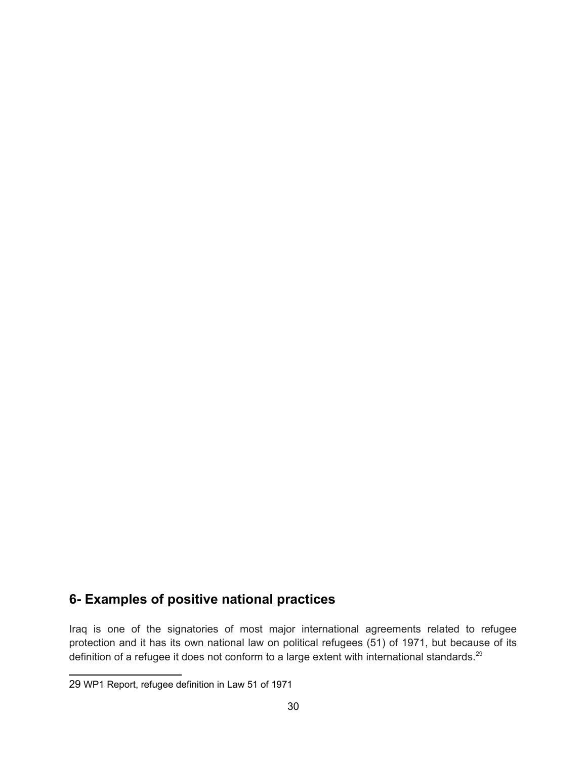## **6- Examples of positive national practices**

Iraq is one of the signatories of most major international agreements related to refugee protection and it has its own national law on political refugees (51) of 1971, but because of its definition of a refugee it does not conform to a large extent with international standards.<sup>[29](#page-29-0)</sup>

<span id="page-29-0"></span><sup>29</sup> WP1 Report, refugee definition in Law 51 of 1971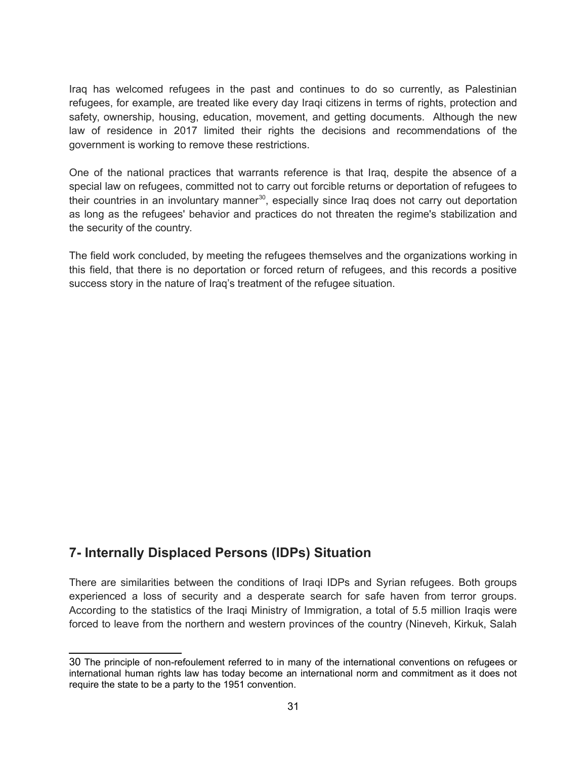Iraq has welcomed refugees in the past and continues to do so currently, as Palestinian refugees, for example, are treated like every day Iraqi citizens in terms of rights, protection and safety, ownership, housing, education, movement, and getting documents. Although the new law of residence in 2017 limited their rights the decisions and recommendations of the government is working to remove these restrictions.

One of the national practices that warrants reference is that Iraq, despite the absence of a special law on refugees, committed not to carry out forcible returns or deportation of refugees to their countries in an involuntary manner<sup>[30](#page-30-0)</sup>, especially since Iraq does not carry out deportation as long as the refugees' behavior and practices do not threaten the regime's stabilization and the security of the country.

The field work concluded, by meeting the refugees themselves and the organizations working in this field, that there is no deportation or forced return of refugees, and this records a positive success story in the nature of Iraq's treatment of the refugee situation.

## **7- Internally Displaced Persons (IDPs) Situation**

There are similarities between the conditions of Iraqi IDPs and Syrian refugees. Both groups experienced a loss of security and a desperate search for safe haven from terror groups. According to the statistics of the Iraqi Ministry of Immigration, a total of 5.5 million Iraqis were forced to leave from the northern and western provinces of the country (Nineveh, Kirkuk, Salah

<span id="page-30-0"></span><sup>30</sup> The principle of non-refoulement referred to in many of the international conventions on refugees or international human rights law has today become an international norm and commitment as it does not require the state to be a party to the 1951 convention.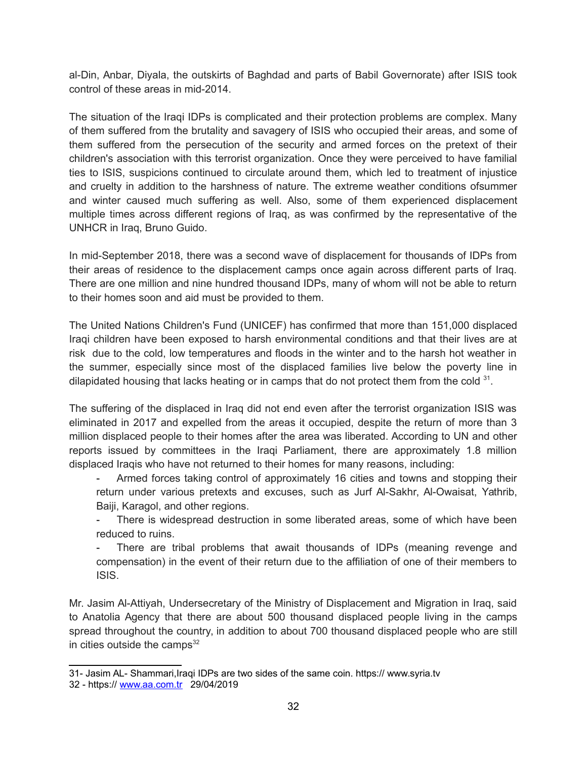al-Din, Anbar, Diyala, the outskirts of Baghdad and parts of Babil Governorate) after ISIS took control of these areas in mid-2014.

The situation of the Iraqi IDPs is complicated and their protection problems are complex. Many of them suffered from the brutality and savagery of ISIS who occupied their areas, and some of them suffered from the persecution of the security and armed forces on the pretext of their children's association with this terrorist organization. Once they were perceived to have familial ties to ISIS, suspicions continued to circulate around them, which led to treatment of injustice and cruelty in addition to the harshness of nature. The extreme weather conditions ofsummer and winter caused much suffering as well. Also, some of them experienced displacement multiple times across different regions of Iraq, as was confirmed by the representative of the UNHCR in Iraq, Bruno Guido.

In mid-September 2018, there was a second wave of displacement for thousands of IDPs from their areas of residence to the displacement camps once again across different parts of Iraq. There are one million and nine hundred thousand IDPs, many of whom will not be able to return to their homes soon and aid must be provided to them.

The United Nations Children's Fund (UNICEF) has confirmed that more than 151,000 displaced Iraqi children have been exposed to harsh environmental conditions and that their lives are at risk due to the cold, low temperatures and floods in the winter and to the harsh hot weather in the summer, especially since most of the displaced families live below the poverty line in dilapidated housing that lacks heating or in camps that do not protect them from the cold  $31$ .

The suffering of the displaced in Iraq did not end even after the terrorist organization ISIS was eliminated in 2017 and expelled from the areas it occupied, despite the return of more than 3 million displaced people to their homes after the area was liberated. According to UN and other reports issued by committees in the Iraqi Parliament, there are approximately 1.8 million displaced Iraqis who have not returned to their homes for many reasons, including:

- Armed forces taking control of approximately 16 cities and towns and stopping their return under various pretexts and excuses, such as Jurf Al-Sakhr, Al-Owaisat, Yathrib, Baiji, Karagol, and other regions.

There is widespread destruction in some liberated areas, some of which have been reduced to ruins.

There are tribal problems that await thousands of IDPs (meaning revenge and compensation) in the event of their return due to the affiliation of one of their members to ISIS.

Mr. Jasim Al-Attiyah, Undersecretary of the Ministry of Displacement and Migration in Iraq, said to Anatolia Agency that there are about 500 thousand displaced people living in the camps spread throughout the country, in addition to about 700 thousand displaced people who are still in cities outside the camps $32$ 

<span id="page-31-0"></span><sup>31-</sup> Jasim AL- Shammari,Iraqi IDPs are two sides of the same coin. https:// www.syria.tv

<span id="page-31-1"></span><sup>32 -</sup> https:// [www.aa.com.tr](http://www.aa.com.tr/) 29/04/2019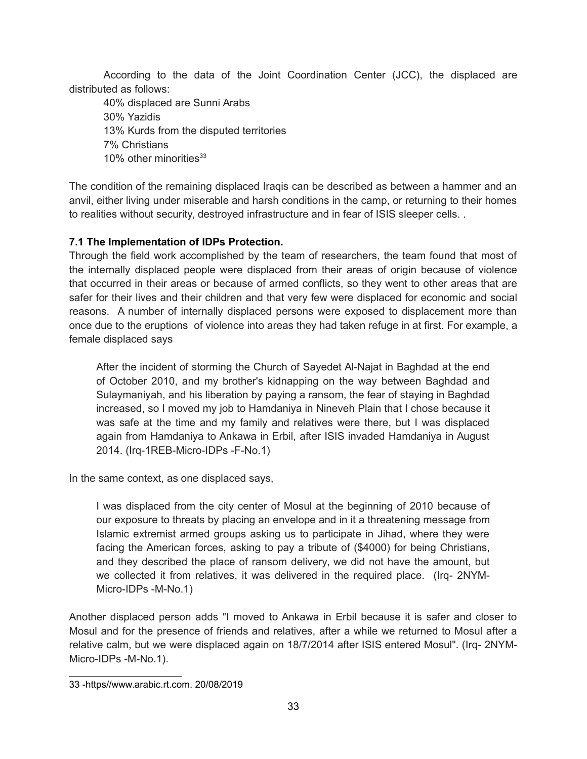According to the data of the Joint Coordination Center (JCC), the displaced are distributed as follows:

40% displaced are Sunni Arabs 30% Yazidis 13% Kurds from the disputed territories 7% Christians 10% other minorities<sup>[33](#page-32-0)</sup>

The condition of the remaining displaced Iraqis can be described as between a hammer and an anvil, either living under miserable and harsh conditions in the camp, or returning to their homes to realities without security, destroyed infrastructure and in fear of ISIS sleeper cells. .

#### **7.1 The Implementation of IDPs Protection.**

Through the field work accomplished by the team of researchers, the team found that most of the internally displaced people were displaced from their areas of origin because of violence that occurred in their areas or because of armed conflicts, so they went to other areas that are safer for their lives and their children and that very few were displaced for economic and social reasons. A number of internally displaced persons were exposed to displacement more than once due to the eruptions of violence into areas they had taken refuge in at first. For example, a female displaced says

After the incident of storming the Church of Sayedet Al-Najat in Baghdad at the end of October 2010, and my brother's kidnapping on the way between Baghdad and Sulaymaniyah, and his liberation by paying a ransom, the fear of staying in Baghdad increased, so I moved my job to Hamdaniya in Nineveh Plain that I chose because it was safe at the time and my family and relatives were there, but I was displaced again from Hamdaniya to Ankawa in Erbil, after ISIS invaded Hamdaniya in August 2014. (Irq-1REB-Micro-IDPs -F-No.1)

In the same context, as one displaced says,

I was displaced from the city center of Mosul at the beginning of 2010 because of our exposure to threats by placing an envelope and in it a threatening message from Islamic extremist armed groups asking us to participate in Jihad, where they were facing the American forces, asking to pay a tribute of (\$4000) for being Christians, and they described the place of ransom delivery, we did not have the amount, but we collected it from relatives, it was delivered in the required place. (Irq- 2NYM-Micro-IDPs -M-No.1)

Another displaced person adds "I moved to Ankawa in Erbil because it is safer and closer to Mosul and for the presence of friends and relatives, after a while we returned to Mosul after a relative calm, but we were displaced again on 18/7/2014 after ISIS entered Mosul". (Irq- 2NYM-Micro-IDPs -M-No.1).

<span id="page-32-0"></span><sup>33 -</sup>https//www.arabic.rt.com. 20/08/2019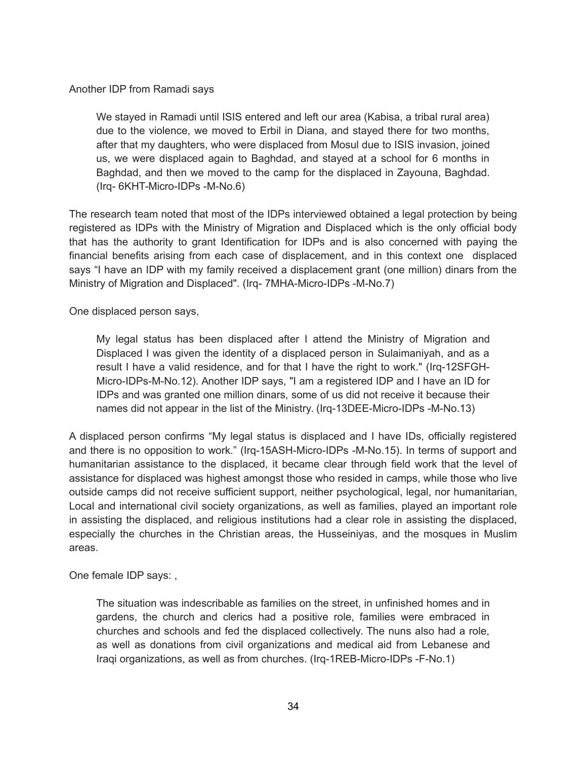#### Another IDP from Ramadi says

We stayed in Ramadi until ISIS entered and left our area (Kabisa, a tribal rural area) due to the violence, we moved to Erbil in Diana, and stayed there for two months, after that my daughters, who were displaced from Mosul due to ISIS invasion, joined us, we were displaced again to Baghdad, and stayed at a school for 6 months in Baghdad, and then we moved to the camp for the displaced in Zayouna, Baghdad. (Irq- 6KHT-Micro-IDPs -M-No.6)

The research team noted that most of the IDPs interviewed obtained a legal protection by being registered as IDPs with the Ministry of Migration and Displaced which is the only official body that has the authority to grant Identification for IDPs and is also concerned with paying the financial benefits arising from each case of displacement, and in this context one displaced says "I have an IDP with my family received a displacement grant (one million) dinars from the Ministry of Migration and Displaced". (Irq- 7MHA-Micro-IDPs -M-No.7)

One displaced person says,

My legal status has been displaced after I attend the Ministry of Migration and Displaced I was given the identity of a displaced person in Sulaimaniyah, and as a result I have a valid residence, and for that I have the right to work." (Irq-12SFGH-Micro-IDPs-M-No.12). Another IDP says, "I am a registered IDP and I have an ID for IDPs and was granted one million dinars, some of us did not receive it because their names did not appear in the list of the Ministry. (Irq-13DEE-Micro-IDPs -M-No.13)

A displaced person confirms "My legal status is displaced and I have IDs, officially registered and there is no opposition to work." (Irq-15ASH-Micro-IDPs -M-No.15). In terms of support and humanitarian assistance to the displaced, it became clear through field work that the level of assistance for displaced was highest amongst those who resided in camps, while those who live outside camps did not receive sufficient support, neither psychological, legal, nor humanitarian, Local and international civil society organizations, as well as families, played an important role in assisting the displaced, and religious institutions had a clear role in assisting the displaced, especially the churches in the Christian areas, the Husseiniyas, and the mosques in Muslim areas.

One female IDP says: ,

The situation was indescribable as families on the street, in unfinished homes and in gardens, the church and clerics had a positive role, families were embraced in churches and schools and fed the displaced collectively. The nuns also had a role, as well as donations from civil organizations and medical aid from Lebanese and Iraqi organizations, as well as from churches. (Irq-1REB-Micro-IDPs -F-No.1)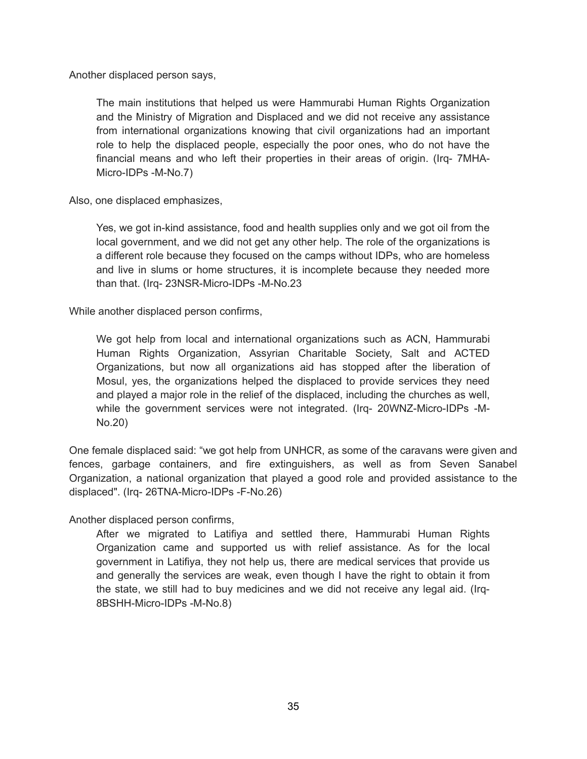Another displaced person says,

The main institutions that helped us were Hammurabi Human Rights Organization and the Ministry of Migration and Displaced and we did not receive any assistance from international organizations knowing that civil organizations had an important role to help the displaced people, especially the poor ones, who do not have the financial means and who left their properties in their areas of origin. (Irq- 7MHA-Micro-IDPs -M-No.7)

Also, one displaced emphasizes,

Yes, we got in-kind assistance, food and health supplies only and we got oil from the local government, and we did not get any other help. The role of the organizations is a different role because they focused on the camps without IDPs, who are homeless and live in slums or home structures, it is incomplete because they needed more than that. (Irq- 23NSR-Micro-IDPs -M-No.23

While another displaced person confirms,

We got help from local and international organizations such as ACN, Hammurabi Human Rights Organization, Assyrian Charitable Society, Salt and ACTED Organizations, but now all organizations aid has stopped after the liberation of Mosul, yes, the organizations helped the displaced to provide services they need and played a major role in the relief of the displaced, including the churches as well, while the government services were not integrated. (Irq- 20WNZ-Micro-IDPs -M-No.20)

One female displaced said: "we got help from UNHCR, as some of the caravans were given and fences, garbage containers, and fire extinguishers, as well as from Seven Sanabel Organization, a national organization that played a good role and provided assistance to the displaced". (Irq- 26TNA-Micro-IDPs -F-No.26)

Another displaced person confirms,

After we migrated to Latifiya and settled there, Hammurabi Human Rights Organization came and supported us with relief assistance. As for the local government in Latifiya, they not help us, there are medical services that provide us and generally the services are weak, even though I have the right to obtain it from the state, we still had to buy medicines and we did not receive any legal aid. (Irq-8BSHH-Micro-IDPs -M-No.8)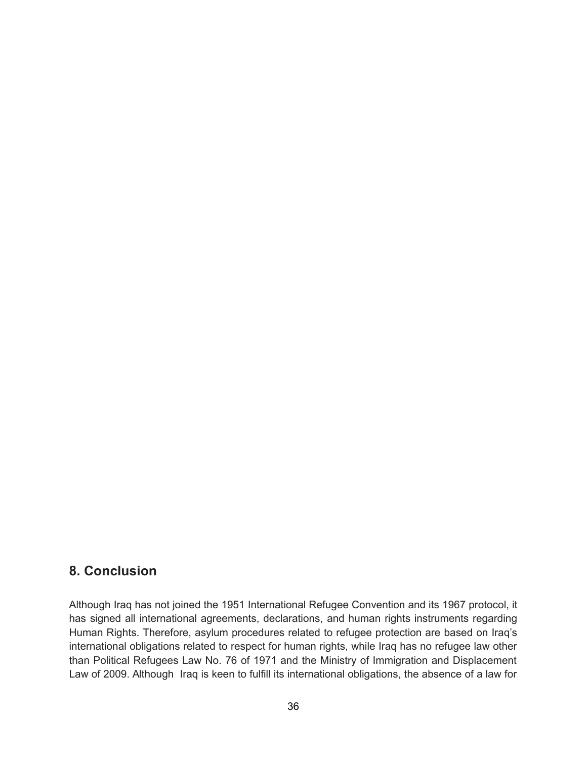## **8. Conclusion**

Although Iraq has not joined the 1951 International Refugee Convention and its 1967 protocol, it has signed all international agreements, declarations, and human rights instruments regarding Human Rights. Therefore, asylum procedures related to refugee protection are based on Iraq's international obligations related to respect for human rights, while Iraq has no refugee law other than Political Refugees Law No. 76 of 1971 and the Ministry of Immigration and Displacement Law of 2009. Although Iraq is keen to fulfill its international obligations, the absence of a law for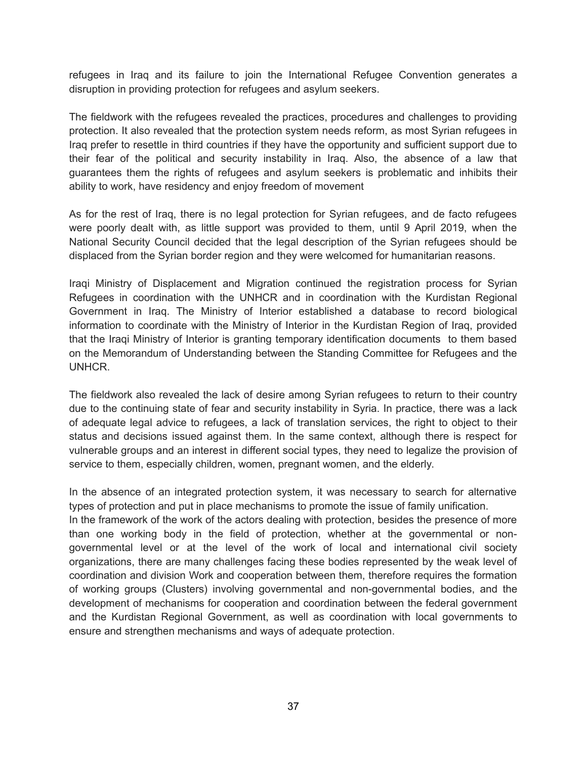refugees in Iraq and its failure to join the International Refugee Convention generates a disruption in providing protection for refugees and asylum seekers.

The fieldwork with the refugees revealed the practices, procedures and challenges to providing protection. It also revealed that the protection system needs reform, as most Syrian refugees in Iraq prefer to resettle in third countries if they have the opportunity and sufficient support due to their fear of the political and security instability in Iraq. Also, the absence of a law that guarantees them the rights of refugees and asylum seekers is problematic and inhibits their ability to work, have residency and enjoy freedom of movement

As for the rest of Iraq, there is no legal protection for Syrian refugees, and de facto refugees were poorly dealt with, as little support was provided to them, until 9 April 2019, when the National Security Council decided that the legal description of the Syrian refugees should be displaced from the Syrian border region and they were welcomed for humanitarian reasons.

Iraqi Ministry of Displacement and Migration continued the registration process for Syrian Refugees in coordination with the UNHCR and in coordination with the Kurdistan Regional Government in Iraq. The Ministry of Interior established a database to record biological information to coordinate with the Ministry of Interior in the Kurdistan Region of Iraq, provided that the Iraqi Ministry of Interior is granting temporary identification documents to them based on the Memorandum of Understanding between the Standing Committee for Refugees and the UNHCR.

The fieldwork also revealed the lack of desire among Syrian refugees to return to their country due to the continuing state of fear and security instability in Syria. In practice, there was a lack of adequate legal advice to refugees, a lack of translation services, the right to object to their status and decisions issued against them. In the same context, although there is respect for vulnerable groups and an interest in different social types, they need to legalize the provision of service to them, especially children, women, pregnant women, and the elderly.

In the absence of an integrated protection system, it was necessary to search for alternative types of protection and put in place mechanisms to promote the issue of family unification.

In the framework of the work of the actors dealing with protection, besides the presence of more than one working body in the field of protection, whether at the governmental or nongovernmental level or at the level of the work of local and international civil society organizations, there are many challenges facing these bodies represented by the weak level of coordination and division Work and cooperation between them, therefore requires the formation of working groups (Clusters) involving governmental and non-governmental bodies, and the development of mechanisms for cooperation and coordination between the federal government and the Kurdistan Regional Government, as well as coordination with local governments to ensure and strengthen mechanisms and ways of adequate protection.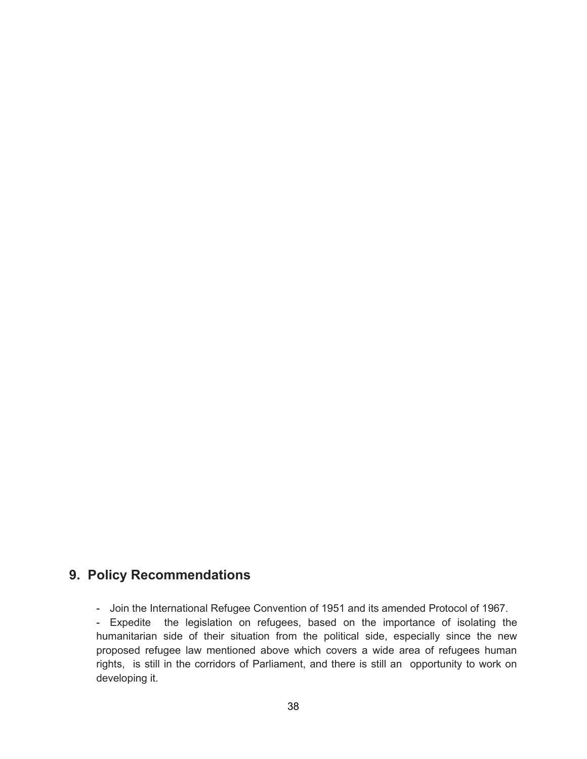## **9. Policy Recommendations**

- Join the International Refugee Convention of 1951 and its amended Protocol of 1967.

- Expedite the legislation on refugees, based on the importance of isolating the humanitarian side of their situation from the political side, especially since the new proposed refugee law mentioned above which covers a wide area of refugees human rights, is still in the corridors of Parliament, and there is still an opportunity to work on developing it.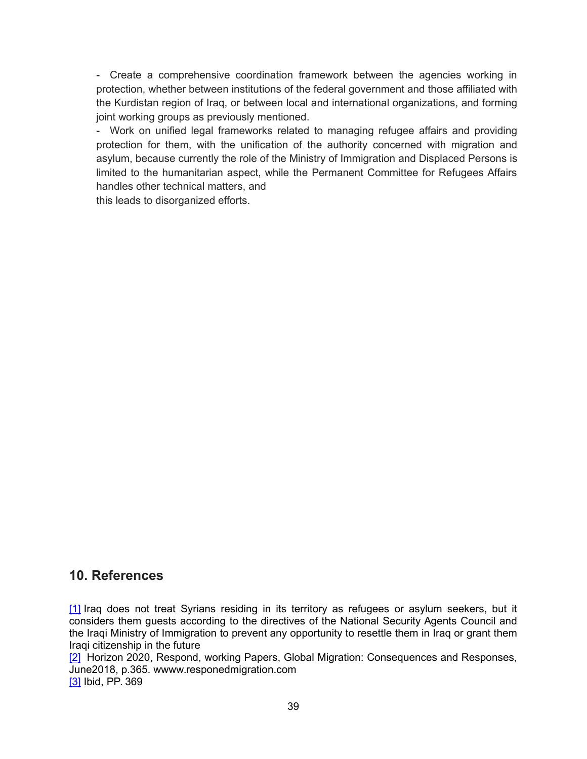- Create a comprehensive coordination framework between the agencies working in protection, whether between institutions of the federal government and those affiliated with the Kurdistan region of Iraq, or between local and international organizations, and forming joint working groups as previously mentioned.

- Work on unified legal frameworks related to managing refugee affairs and providing protection for them, with the unification of the authority concerned with migration and asylum, because currently the role of the Ministry of Immigration and Displaced Persons is limited to the humanitarian aspect, while the Permanent Committee for Refugees Affairs handles other technical matters, and

this leads to disorganized efforts.

### **10. References**

[\[1\]](https://docs.google.com/document/d/1KMveyQPy2rN5kTe84pEFccygxwXF4ltZKnPmdrwyXco/mobilebasic#ftnt_ref1) Iraq does not treat Syrians residing in its territory as refugees or asylum seekers, but it considers them guests according to the directives of the National Security Agents Council and the Iraqi Ministry of Immigration to prevent any opportunity to resettle them in Iraq or grant them Iraqi citizenship in the future

[\[2\]](https://docs.google.com/document/d/1KMveyQPy2rN5kTe84pEFccygxwXF4ltZKnPmdrwyXco/mobilebasic#ftnt_ref2) Horizon 2020, Respond, working Papers, Global Migration: Consequences and Responses, June2018, p.365. wwww.responedmigration.com [\[3\]](https://docs.google.com/document/d/1KMveyQPy2rN5kTe84pEFccygxwXF4ltZKnPmdrwyXco/mobilebasic#ftnt_ref3) Ibid, PP. 369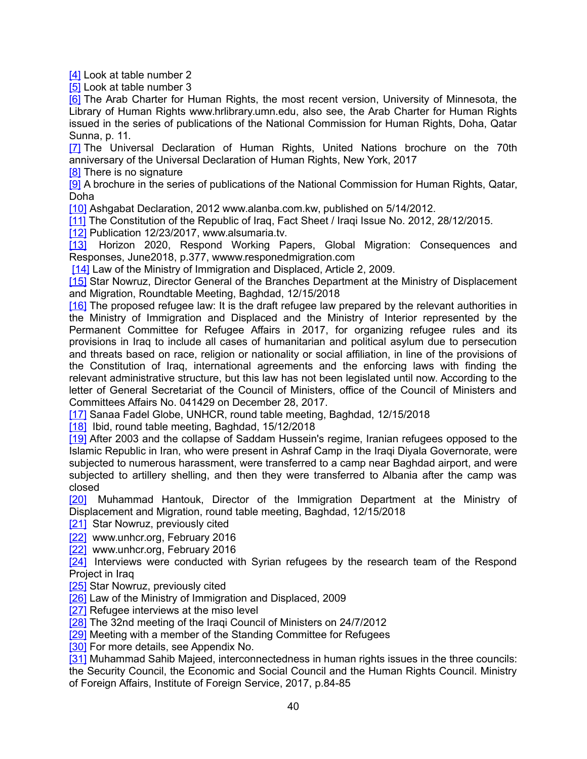[\[4\]](https://docs.google.com/document/d/1KMveyQPy2rN5kTe84pEFccygxwXF4ltZKnPmdrwyXco/mobilebasic#ftnt_ref4) Look at table number 2

[\[5\]](https://docs.google.com/document/d/1KMveyQPy2rN5kTe84pEFccygxwXF4ltZKnPmdrwyXco/mobilebasic#ftnt_ref5) Look at table number 3

[\[6\]](https://docs.google.com/document/d/1KMveyQPy2rN5kTe84pEFccygxwXF4ltZKnPmdrwyXco/mobilebasic#ftnt_ref6) The Arab Charter for Human Rights, the most recent version, University of Minnesota, the Library of Human Rights www.hrlibrary.umn.edu, also see, the Arab Charter for Human Rights issued in the series of publications of the National Commission for Human Rights, Doha, Qatar Sunna, p. 11.

[\[7\]](https://docs.google.com/document/d/1KMveyQPy2rN5kTe84pEFccygxwXF4ltZKnPmdrwyXco/mobilebasic#ftnt_ref7) The Universal Declaration of Human Rights, United Nations brochure on the 70th anniversary of the Universal Declaration of Human Rights, New York, 2017

[\[8\]](https://docs.google.com/document/d/1KMveyQPy2rN5kTe84pEFccygxwXF4ltZKnPmdrwyXco/mobilebasic#ftnt_ref8) There is no signature

[\[9\]](https://docs.google.com/document/d/1KMveyQPy2rN5kTe84pEFccygxwXF4ltZKnPmdrwyXco/mobilebasic#ftnt_ref9) A brochure in the series of publications of the National Commission for Human Rights, Qatar, Doha

[\[10\]](https://docs.google.com/document/d/1KMveyQPy2rN5kTe84pEFccygxwXF4ltZKnPmdrwyXco/mobilebasic#ftnt_ref10) Ashgabat Declaration, 2012 www.alanba.com.kw, published on 5/14/2012.

[\[11\]](https://docs.google.com/document/d/1KMveyQPy2rN5kTe84pEFccygxwXF4ltZKnPmdrwyXco/mobilebasic#ftnt_ref11) The Constitution of the Republic of Iraq, Fact Sheet / Iraqi Issue No. 2012, 28/12/2015.

[\[12\]](https://docs.google.com/document/d/1KMveyQPy2rN5kTe84pEFccygxwXF4ltZKnPmdrwyXco/mobilebasic#ftnt_ref12) Publication 12/23/2017, www.alsumaria.tv.

[\[13\]](https://docs.google.com/document/d/1KMveyQPy2rN5kTe84pEFccygxwXF4ltZKnPmdrwyXco/mobilebasic#ftnt_ref13) Horizon 2020, Respond Working Papers, Global Migration: Consequences and Responses, June2018, p.377, wwww.responedmigration.com

[\[14\]](https://docs.google.com/document/d/1KMveyQPy2rN5kTe84pEFccygxwXF4ltZKnPmdrwyXco/mobilebasic#ftnt_ref14) Law of the Ministry of Immigration and Displaced, Article 2, 2009.

[\[15\]](https://docs.google.com/document/d/1KMveyQPy2rN5kTe84pEFccygxwXF4ltZKnPmdrwyXco/mobilebasic#ftnt_ref15) Star Nowruz, Director General of the Branches Department at the Ministry of Displacement and Migration, Roundtable Meeting, Baghdad, 12/15/2018

[\[16\]](https://docs.google.com/document/d/1KMveyQPy2rN5kTe84pEFccygxwXF4ltZKnPmdrwyXco/mobilebasic#ftnt_ref16) The proposed refugee law: It is the draft refugee law prepared by the relevant authorities in the Ministry of Immigration and Displaced and the Ministry of Interior represented by the Permanent Committee for Refugee Affairs in 2017, for organizing refugee rules and its provisions in Iraq to include all cases of humanitarian and political asylum due to persecution and threats based on race, religion or nationality or social affiliation, in line of the provisions of the Constitution of Iraq, international agreements and the enforcing laws with finding the relevant administrative structure, but this law has not been legislated until now. According to the letter of General Secretariat of the Council of Ministers, office of the Council of Ministers and Committees Affairs No. 041429 on December 28, 2017.

[\[17\]](https://docs.google.com/document/d/1KMveyQPy2rN5kTe84pEFccygxwXF4ltZKnPmdrwyXco/mobilebasic#ftnt_ref17) Sanaa Fadel Globe, UNHCR, round table meeting, Baghdad, 12/15/2018

[\[18\]](https://docs.google.com/document/d/1KMveyQPy2rN5kTe84pEFccygxwXF4ltZKnPmdrwyXco/mobilebasic#ftnt_ref18) Ibid, round table meeting, Baghdad, 15/12/2018

[\[19\]](https://docs.google.com/document/d/1KMveyQPy2rN5kTe84pEFccygxwXF4ltZKnPmdrwyXco/mobilebasic#ftnt_ref19) After 2003 and the collapse of Saddam Hussein's regime, Iranian refugees opposed to the Islamic Republic in Iran, who were present in Ashraf Camp in the Iraqi Diyala Governorate, were subjected to numerous harassment, were transferred to a camp near Baghdad airport, and were subjected to artillery shelling, and then they were transferred to Albania after the camp was closed

[\[20\]](https://docs.google.com/document/d/1KMveyQPy2rN5kTe84pEFccygxwXF4ltZKnPmdrwyXco/mobilebasic#ftnt_ref20) Muhammad Hantouk, Director of the Immigration Department at the Ministry of Displacement and Migration, round table meeting, Baghdad, 12/15/2018

[\[21\]](https://docs.google.com/document/d/1KMveyQPy2rN5kTe84pEFccygxwXF4ltZKnPmdrwyXco/mobilebasic#ftnt_ref21) Star Nowruz, previously cited

[\[22\]](https://docs.google.com/document/d/1KMveyQPy2rN5kTe84pEFccygxwXF4ltZKnPmdrwyXco/mobilebasic#ftnt_ref22) www.unhcr.org, February 2016

[\[22\]](https://docs.google.com/document/d/1KMveyQPy2rN5kTe84pEFccygxwXF4ltZKnPmdrwyXco/mobilebasic#ftnt_ref22) www.unhcr.org, February 2016

[\[24\]](https://docs.google.com/document/d/1KMveyQPy2rN5kTe84pEFccygxwXF4ltZKnPmdrwyXco/mobilebasic#ftnt_ref24) Interviews were conducted with Syrian refugees by the research team of the Respond Project in Iraq

[\[25\]](https://docs.google.com/document/d/1KMveyQPy2rN5kTe84pEFccygxwXF4ltZKnPmdrwyXco/mobilebasic#ftnt_ref25) Star Nowruz, previously cited

[\[26\]](https://docs.google.com/document/d/1KMveyQPy2rN5kTe84pEFccygxwXF4ltZKnPmdrwyXco/mobilebasic#ftnt_ref26) Law of the Ministry of Immigration and Displaced, 2009

[\[27\]](https://docs.google.com/document/d/1KMveyQPy2rN5kTe84pEFccygxwXF4ltZKnPmdrwyXco/mobilebasic#ftnt_ref27) Refugee interviews at the miso level

[\[28\]](https://docs.google.com/document/d/1KMveyQPy2rN5kTe84pEFccygxwXF4ltZKnPmdrwyXco/mobilebasic#ftnt_ref28) The 32nd meeting of the Iraqi Council of Ministers on 24/7/2012

[\[29\]](https://docs.google.com/document/d/1KMveyQPy2rN5kTe84pEFccygxwXF4ltZKnPmdrwyXco/mobilebasic#ftnt_ref29) Meeting with a member of the Standing Committee for Refugees

[\[30\]](https://docs.google.com/document/d/1KMveyQPy2rN5kTe84pEFccygxwXF4ltZKnPmdrwyXco/mobilebasic#ftnt_ref30) For more details, see Appendix No.

[\[31\]](https://docs.google.com/document/d/1KMveyQPy2rN5kTe84pEFccygxwXF4ltZKnPmdrwyXco/mobilebasic#ftnt_ref31) Muhammad Sahib Majeed, interconnectedness in human rights issues in the three councils: the Security Council, the Economic and Social Council and the Human Rights Council. Ministry of Foreign Affairs, Institute of Foreign Service, 2017, p.84-85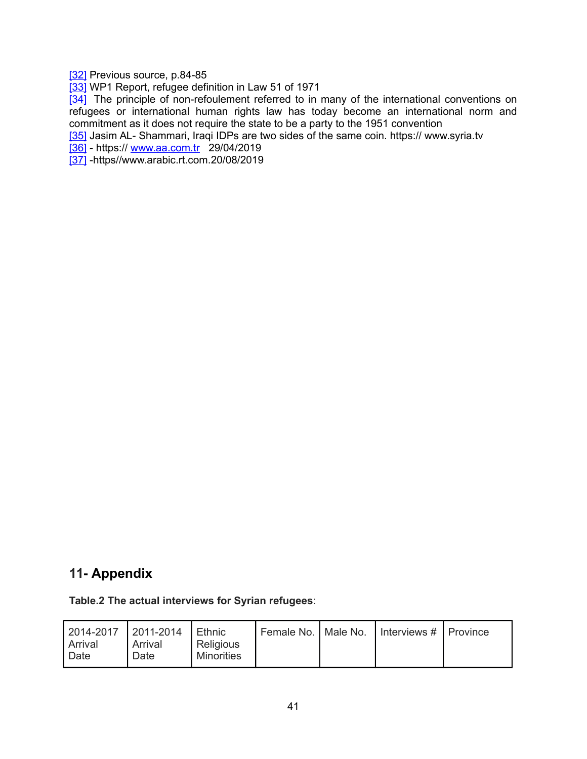[\[32\]](https://docs.google.com/document/d/1KMveyQPy2rN5kTe84pEFccygxwXF4ltZKnPmdrwyXco/mobilebasic#ftnt_ref32) Previous source, p.84-85

[\[33\]](https://docs.google.com/document/d/1KMveyQPy2rN5kTe84pEFccygxwXF4ltZKnPmdrwyXco/mobilebasic#ftnt_ref33) WP1 Report, refugee definition in Law 51 of 1971

[\[34\]](https://docs.google.com/document/d/1KMveyQPy2rN5kTe84pEFccygxwXF4ltZKnPmdrwyXco/mobilebasic#ftnt_ref34) The principle of non-refoulement referred to in many of the international conventions on refugees or international human rights law has today become an international norm and commitment as it does not require the state to be a party to the 1951 convention

[\[35\]](https://docs.google.com/document/d/1KMveyQPy2rN5kTe84pEFccygxwXF4ltZKnPmdrwyXco/mobilebasic#ftnt_ref35) Jasim AL- Shammari, Iraqi IDPs are two sides of the same coin. https:// www.syria.tv

[\[36\]](https://docs.google.com/document/d/1KMveyQPy2rN5kTe84pEFccygxwXF4ltZKnPmdrwyXco/mobilebasic#ftnt_ref32) - https:// [www.aa.com.tr](http://www.aa.com.tr/) 29/04/2019

[\[37\]](https://docs.google.com/document/d/1KMveyQPy2rN5kTe84pEFccygxwXF4ltZKnPmdrwyXco/mobilebasic#ftnt_ref32) -https//www.arabic.rt.com.20/08/2019

## **11- Appendix**

#### **Table.2 The actual interviews for Syrian refugees**:

| Religious<br>Arrival<br>Arrival<br>Minorities<br>Date<br>Date | 2014-2017 2011-2014 |  | <b>∣</b> Ethnic |  |  | Female No.   Male No.   Interviews #   Province |  |
|---------------------------------------------------------------|---------------------|--|-----------------|--|--|-------------------------------------------------|--|
|---------------------------------------------------------------|---------------------|--|-----------------|--|--|-------------------------------------------------|--|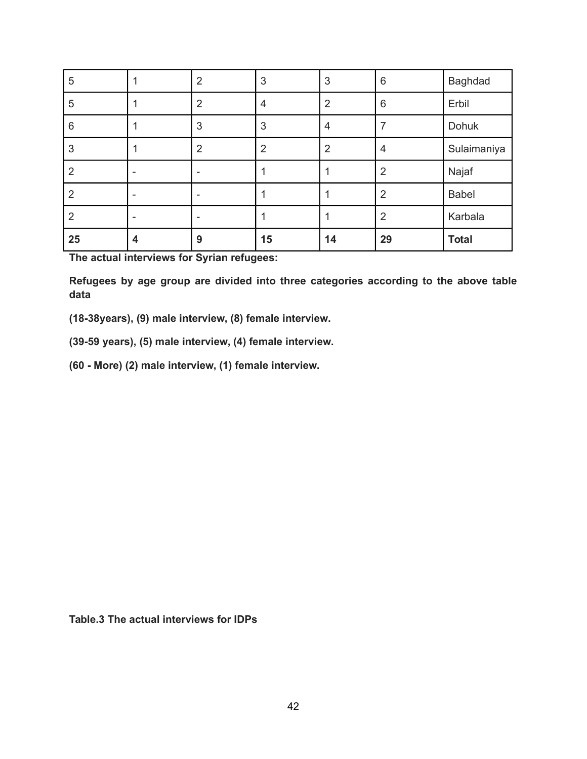| 5              |   | $\overline{2}$ | 3              | 3              | $6\phantom{1}6$ | <b>Baghdad</b> |
|----------------|---|----------------|----------------|----------------|-----------------|----------------|
| 5              |   | $\overline{2}$ | 4              | $\overline{2}$ | 6               | Erbil          |
| 6              |   | 3              | 3              | 4              | 7               | Dohuk          |
| 3              |   | $\overline{2}$ | $\overline{2}$ | $\overline{2}$ | 4               | Sulaimaniya    |
| $\overline{2}$ |   |                |                |                | $\overline{2}$  | Najaf          |
| $\overline{2}$ |   |                |                |                | $\overline{2}$  | <b>Babel</b>   |
| $\overline{2}$ |   |                |                |                | $\overline{2}$  | Karbala        |
| 25             | 4 | 9              | 15             | 14             | 29              | <b>Total</b>   |

**The actual interviews for Syrian refugees:**

**Refugees by age group are divided into three categories according to the above table data**

**(18-38years), (9) male interview, (8) female interview.**

**(39-59 years), (5) male interview, (4) female interview.**

**(60 - More) (2) male interview, (1) female interview.**

**Table.3 The actual interviews for IDPs**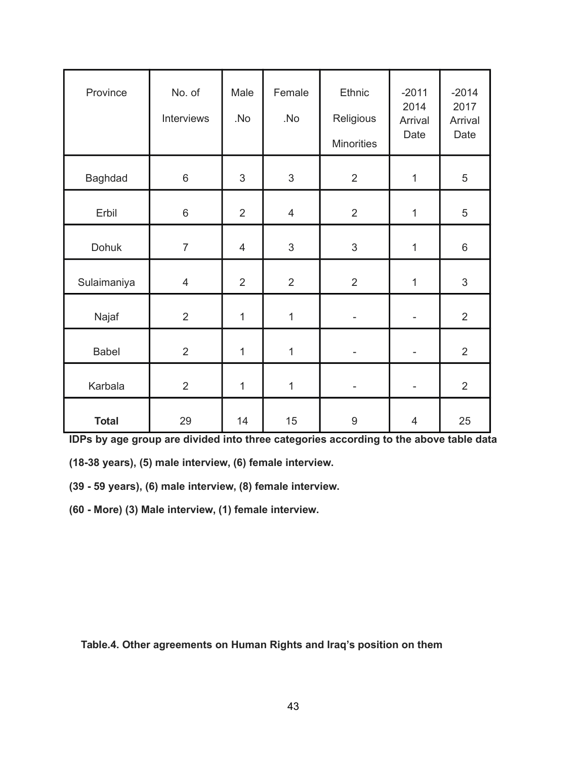| Province       | No. of<br>Interviews | Male<br>.No    | Female<br>.No  | <b>Ethnic</b><br>Religious<br><b>Minorities</b> | $-2011$<br>2014<br>Arrival<br>Date | $-2014$<br>2017<br>Arrival<br>Date |
|----------------|----------------------|----------------|----------------|-------------------------------------------------|------------------------------------|------------------------------------|
| <b>Baghdad</b> | $6\,$                | 3              | 3              | $\overline{2}$                                  | 1                                  | 5                                  |
| Erbil          | $6\,$                | $\overline{2}$ | $\overline{4}$ | $\overline{2}$                                  | $\mathbf 1$                        | 5                                  |
| Dohuk          | $\overline{7}$       | $\overline{4}$ | $\mathfrak{S}$ | 3                                               | $\mathbf{1}$                       | $\,6$                              |
| Sulaimaniya    | $\overline{4}$       | $\overline{2}$ | $\overline{2}$ | $\overline{2}$                                  | $\mathbf{1}$                       | 3                                  |
| Najaf          | $\overline{2}$       | $\mathbf 1$    | $\mathbf{1}$   |                                                 | ۰                                  | $\overline{2}$                     |
| <b>Babel</b>   | $\overline{2}$       | $\mathbf{1}$   | $\mathbf{1}$   |                                                 | $\overline{\phantom{0}}$           | $\overline{2}$                     |
| Karbala        | $\overline{2}$       | $\mathbf 1$    | $\mathbf{1}$   | $\overline{\phantom{a}}$                        | -                                  | $\overline{2}$                     |
| <b>Total</b>   | 29                   | 14             | 15             | $\boldsymbol{9}$                                | $\overline{4}$                     | 25                                 |

**IDPs by age group are divided into three categories according to the above table data**

**(18-38 years), (5) male interview, (6) female interview.**

**(39 - 59 years), (6) male interview, (8) female interview.**

**(60 - More) (3) Male interview, (1) female interview.**

 **Table.4. Other agreements on Human Rights and Iraq's position on them**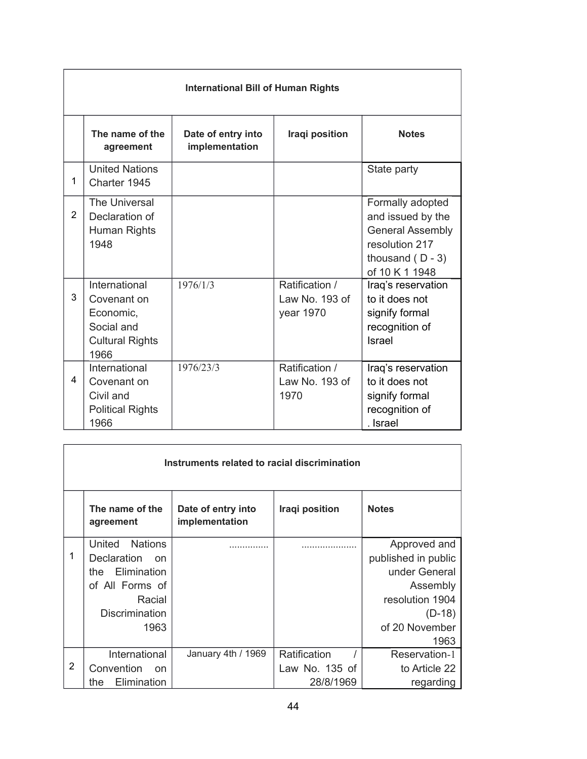|                | <b>International Bill of Human Rights</b>                                                 |                                      |                                               |                                                                                                                            |  |  |  |
|----------------|-------------------------------------------------------------------------------------------|--------------------------------------|-----------------------------------------------|----------------------------------------------------------------------------------------------------------------------------|--|--|--|
|                | The name of the<br>agreement                                                              | Date of entry into<br>implementation | Iraqi position                                | <b>Notes</b>                                                                                                               |  |  |  |
| 1              | <b>United Nations</b><br>Charter 1945                                                     |                                      |                                               | State party                                                                                                                |  |  |  |
| $\overline{2}$ | The Universal<br>Declaration of<br>Human Rights<br>1948                                   |                                      |                                               | Formally adopted<br>and issued by the<br><b>General Assembly</b><br>resolution 217<br>thousand $(D - 3)$<br>of 10 K 1 1948 |  |  |  |
| 3              | International<br>Covenant on<br>Economic,<br>Social and<br><b>Cultural Rights</b><br>1966 | 1976/1/3                             | Ratification /<br>Law No. 193 of<br>year 1970 | Iraq's reservation<br>to it does not<br>signify formal<br>recognition of<br><b>Israel</b>                                  |  |  |  |
| 4              | International<br>Covenant on<br>Civil and<br><b>Political Rights</b><br>1966              | 1976/23/3                            | Ratification /<br>Law No. 193 of<br>1970      | Iraq's reservation<br>to it does not<br>signify formal<br>recognition of<br>. Israel                                       |  |  |  |

| Instruments related to racial discrimination |                                     |                                      |                |                     |  |  |
|----------------------------------------------|-------------------------------------|--------------------------------------|----------------|---------------------|--|--|
|                                              | The name of the<br>agreement        | Date of entry into<br>implementation | Iraqi position | <b>Notes</b>        |  |  |
|                                              | United<br><b>Nations</b>            |                                      |                | Approved and        |  |  |
| 1                                            | <b>Declaration</b><br><sub>on</sub> |                                      |                | published in public |  |  |
|                                              | Elimination<br>the                  |                                      |                | under General       |  |  |
|                                              | of All Forms of                     |                                      |                | Assembly            |  |  |
|                                              | Racial                              |                                      |                | resolution 1904     |  |  |
|                                              | <b>Discrimination</b>               |                                      |                | $(D-18)$            |  |  |
|                                              | 1963                                |                                      |                | of 20 November      |  |  |
|                                              |                                     |                                      |                | 1963                |  |  |
|                                              | International                       | January 4th / 1969                   | Ratification   | Reservation-1       |  |  |
| 2                                            | Convention<br>on                    |                                      | Law No. 135 of | to Article 22       |  |  |
|                                              | Elimination<br>the                  |                                      | 28/8/1969      | regarding           |  |  |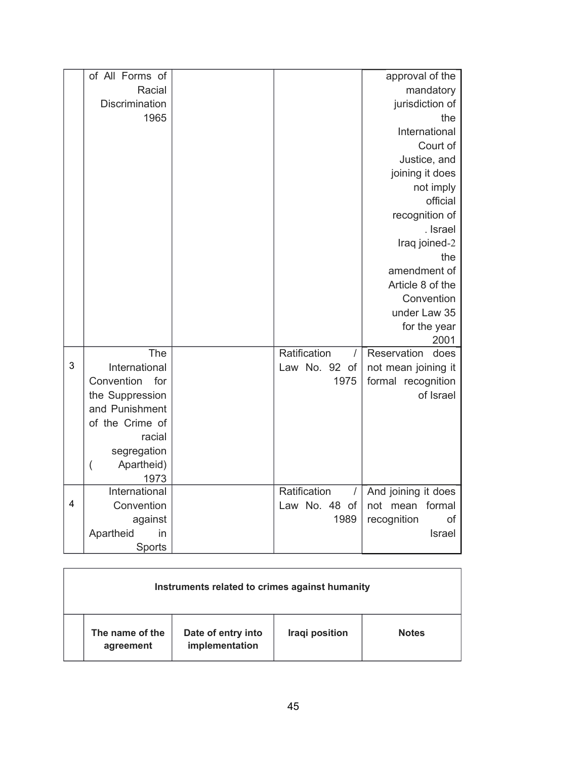|   | of All Forms of              |                          | approval of the               |
|---|------------------------------|--------------------------|-------------------------------|
|   | Racial                       |                          | mandatory                     |
|   | Discrimination               |                          | jurisdiction of               |
|   | 1965                         |                          | the                           |
|   |                              |                          | International                 |
|   |                              |                          | Court of                      |
|   |                              |                          | Justice, and                  |
|   |                              |                          | joining it does               |
|   |                              |                          | not imply                     |
|   |                              |                          | official                      |
|   |                              |                          | recognition of                |
|   |                              |                          | . Israel                      |
|   |                              |                          | Iraq joined-2                 |
|   |                              |                          | the                           |
|   |                              |                          | amendment of                  |
|   |                              |                          | Article 8 of the              |
|   |                              |                          | Convention                    |
|   |                              |                          | under Law 35                  |
|   |                              |                          | for the year                  |
|   |                              |                          | 2001                          |
|   | The                          | Ratification<br>$\prime$ | Reservation<br>does           |
| 3 | International                | Law No. 92 of            | not mean joining it           |
|   | Convention<br>for            | 1975                     | formal recognition            |
|   | the Suppression              |                          | of Israel                     |
|   | and Punishment               |                          |                               |
|   | of the Crime of              |                          |                               |
|   | racial                       |                          |                               |
|   | segregation                  |                          |                               |
|   | Apartheid)<br>$\overline{(}$ |                          |                               |
|   | 1973<br>International        | Ratification             |                               |
| 4 | Convention                   | $\prime$                 | And joining it does<br>formal |
|   |                              | Law No. 48 of<br>1989    | not mean<br>of                |
|   | against                      |                          | recognition                   |
|   | Apartheid<br>in              |                          | <b>Israel</b>                 |
|   | Sports                       |                          |                               |

| Instruments related to crimes against humanity |                                      |                |              |  |  |  |
|------------------------------------------------|--------------------------------------|----------------|--------------|--|--|--|
| The name of the<br>agreement                   | Date of entry into<br>implementation | Iraqi position | <b>Notes</b> |  |  |  |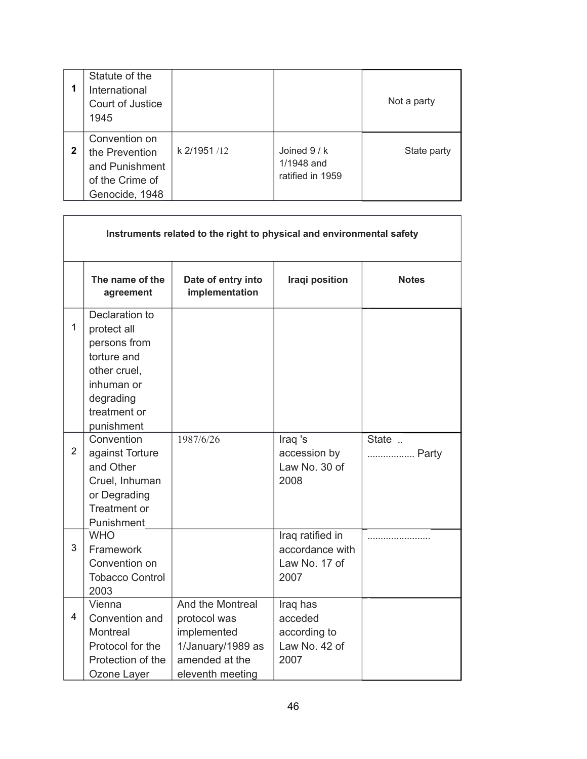| 1            | Statute of the<br>International<br>Court of Justice<br>1945                            |             |                                                | Not a party |
|--------------|----------------------------------------------------------------------------------------|-------------|------------------------------------------------|-------------|
| $\mathbf{2}$ | Convention on<br>the Prevention<br>and Punishment<br>of the Crime of<br>Genocide, 1948 | k 2/1951/12 | Joined $9/k$<br>1/1948 and<br>ratified in 1959 | State party |

 $\sqrt{ }$ 

| Instruments related to the right to physical and environmental safety |                                                                                                                                       |                                                                                                            |                                                              |                |  |  |
|-----------------------------------------------------------------------|---------------------------------------------------------------------------------------------------------------------------------------|------------------------------------------------------------------------------------------------------------|--------------------------------------------------------------|----------------|--|--|
|                                                                       | The name of the<br>agreement                                                                                                          | Date of entry into<br>implementation                                                                       | Iraqi position                                               | <b>Notes</b>   |  |  |
| $\mathbf{1}$                                                          | Declaration to<br>protect all<br>persons from<br>torture and<br>other cruel,<br>inhuman or<br>degrading<br>treatment or<br>punishment |                                                                                                            |                                                              |                |  |  |
| $\overline{2}$                                                        | Convention<br>against Torture<br>and Other<br>Cruel, Inhuman<br>or Degrading<br>Treatment or<br>Punishment                            | 1987/6/26                                                                                                  | Iraq 's<br>accession by<br>Law No. 30 of<br>2008             | State<br>Party |  |  |
| 3                                                                     | <b>WHO</b><br>Framework<br>Convention on<br><b>Tobacco Control</b><br>2003                                                            |                                                                                                            | Iraq ratified in<br>accordance with<br>Law No. 17 of<br>2007 |                |  |  |
| 4                                                                     | Vienna<br>Convention and<br>Montreal<br>Protocol for the<br>Protection of the<br>Ozone Layer                                          | And the Montreal<br>protocol was<br>implemented<br>1/January/1989 as<br>amended at the<br>eleventh meeting | Iraq has<br>acceded<br>according to<br>Law No. 42 of<br>2007 |                |  |  |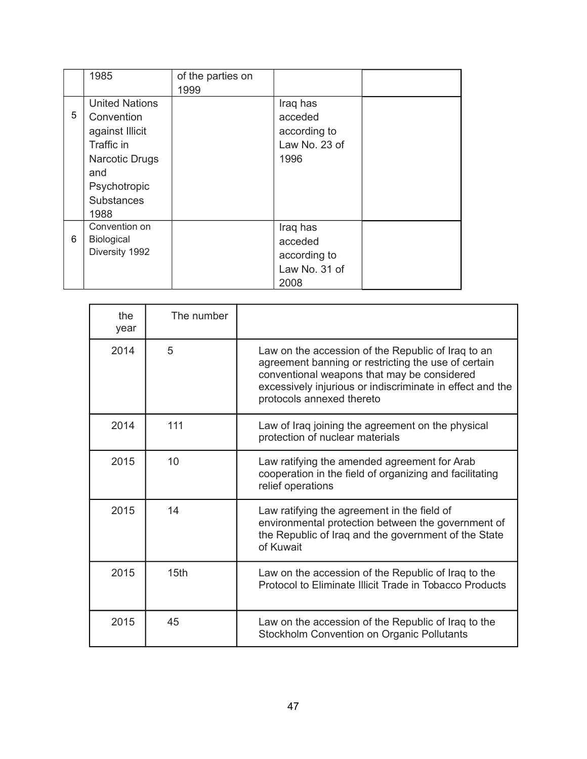|   | 1985                  | of the parties on |               |  |
|---|-----------------------|-------------------|---------------|--|
|   |                       | 1999              |               |  |
|   | <b>United Nations</b> |                   | Iraq has      |  |
| 5 | Convention            |                   | acceded       |  |
|   | against Illicit       |                   | according to  |  |
|   | Traffic in            |                   | Law No. 23 of |  |
|   | <b>Narcotic Drugs</b> |                   | 1996          |  |
|   | and                   |                   |               |  |
|   | Psychotropic          |                   |               |  |
|   | <b>Substances</b>     |                   |               |  |
|   | 1988                  |                   |               |  |
|   | Convention on         |                   | Iraq has      |  |
| 6 | Biological            |                   | acceded       |  |
|   | Diversity 1992        |                   | according to  |  |
|   |                       |                   | Law No. 31 of |  |
|   |                       |                   | 2008          |  |

| the<br>year | The number       |                                                                                                                                                                                                                                                    |
|-------------|------------------|----------------------------------------------------------------------------------------------------------------------------------------------------------------------------------------------------------------------------------------------------|
| 2014        | 5                | Law on the accession of the Republic of Iraq to an<br>agreement banning or restricting the use of certain<br>conventional weapons that may be considered<br>excessively injurious or indiscriminate in effect and the<br>protocols annexed thereto |
| 2014        | 111              | Law of Iraq joining the agreement on the physical<br>protection of nuclear materials                                                                                                                                                               |
| 2015        | 10               | Law ratifying the amended agreement for Arab<br>cooperation in the field of organizing and facilitating<br>relief operations                                                                                                                       |
| 2015        | 14               | Law ratifying the agreement in the field of<br>environmental protection between the government of<br>the Republic of Iraq and the government of the State<br>of Kuwait                                                                             |
| 2015        | 15 <sub>th</sub> | Law on the accession of the Republic of Iraq to the<br>Protocol to Eliminate Illicit Trade in Tobacco Products                                                                                                                                     |
| 2015        | 45               | Law on the accession of the Republic of Iraq to the<br>Stockholm Convention on Organic Pollutants                                                                                                                                                  |